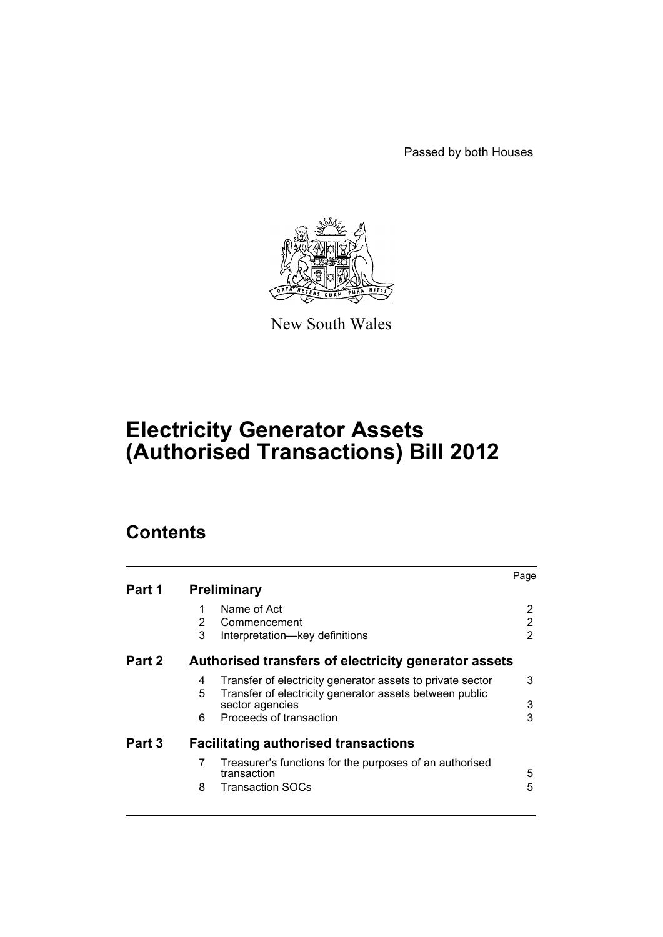Passed by both Houses



New South Wales

# **Electricity Generator Assets (Authorised Transactions) Bill 2012**

# **Contents**

|        |   |                                                                            | Page |
|--------|---|----------------------------------------------------------------------------|------|
| Part 1 |   | <b>Preliminary</b>                                                         |      |
|        |   | Name of Act                                                                | 2    |
|        | 2 | Commencement                                                               | 2    |
|        | 3 | Interpretation-key definitions                                             | 2    |
| Part 2 |   | Authorised transfers of electricity generator assets                       |      |
|        | 4 | Transfer of electricity generator assets to private sector                 | 3    |
|        | 5 | Transfer of electricity generator assets between public<br>sector agencies | 3    |
|        | 6 | Proceeds of transaction                                                    | 3    |
| Part 3 |   | <b>Facilitating authorised transactions</b>                                |      |
|        | 7 | Treasurer's functions for the purposes of an authorised<br>transaction     | 5    |
|        | 8 | <b>Transaction SOCs</b>                                                    | 5    |
|        |   |                                                                            |      |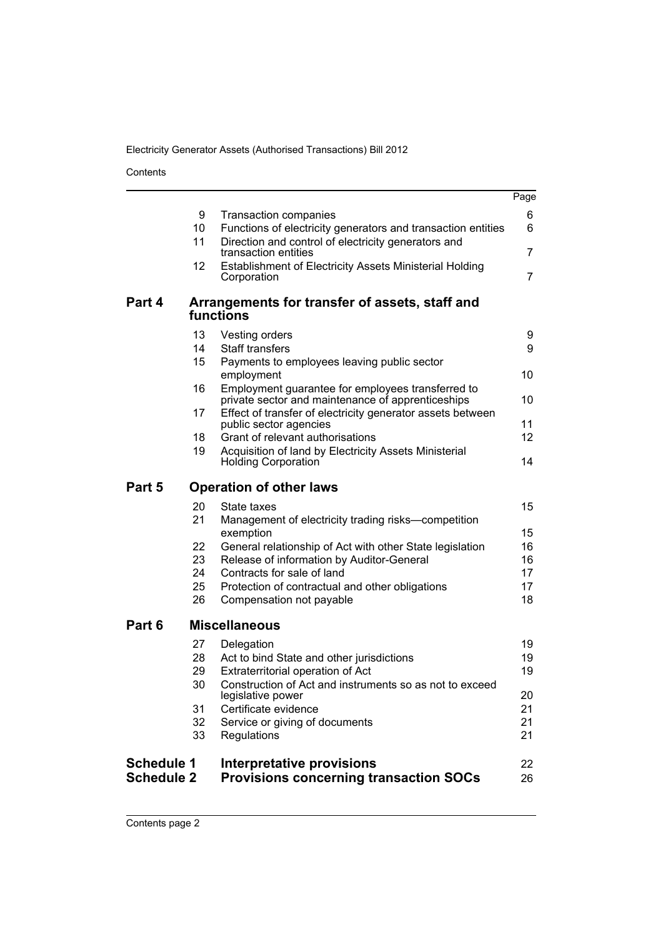Contents

|                                        |          |                                                                                                                 | Page                  |
|----------------------------------------|----------|-----------------------------------------------------------------------------------------------------------------|-----------------------|
|                                        | 9<br>10  | <b>Transaction companies</b><br>Functions of electricity generators and transaction entities                    | 6<br>6                |
|                                        | 11       | Direction and control of electricity generators and<br>transaction entities                                     | 7                     |
|                                        | 12       | Establishment of Electricity Assets Ministerial Holding<br>Corporation                                          | $\overline{7}$        |
|                                        |          |                                                                                                                 |                       |
| Part 4                                 |          | Arrangements for transfer of assets, staff and<br>functions                                                     |                       |
|                                        | 13<br>14 | Vesting orders<br><b>Staff transfers</b>                                                                        | 9<br>9                |
|                                        | 15       | Payments to employees leaving public sector                                                                     |                       |
|                                        | 16       | employment<br>Employment guarantee for employees transferred to                                                 | 10                    |
|                                        | 17       | private sector and maintenance of apprenticeships<br>Effect of transfer of electricity generator assets between | 10                    |
|                                        | 18       | public sector agencies<br>Grant of relevant authorisations                                                      | 11<br>12 <sup>2</sup> |
|                                        | 19       | Acquisition of land by Electricity Assets Ministerial<br><b>Holding Corporation</b>                             | 14                    |
| Part 5                                 |          | <b>Operation of other laws</b>                                                                                  |                       |
|                                        | 20<br>21 | State taxes<br>Management of electricity trading risks-competition                                              | 15                    |
|                                        |          | exemption                                                                                                       | 15                    |
|                                        | 22<br>23 | General relationship of Act with other State legislation<br>Release of information by Auditor-General           | 16<br>16              |
|                                        | 24<br>25 | Contracts for sale of land<br>Protection of contractual and other obligations                                   | 17<br>17              |
|                                        | 26       | Compensation not payable                                                                                        | 18                    |
| Part 6                                 |          | <b>Miscellaneous</b>                                                                                            |                       |
|                                        | 27<br>28 | Delegation<br>Act to bind State and other jurisdictions                                                         | 19<br>19              |
|                                        | 29       | Extraterritorial operation of Act                                                                               | 19                    |
|                                        | 30       | Construction of Act and instruments so as not to exceed<br>legislative power                                    | 20                    |
|                                        | 31<br>32 | Certificate evidence<br>Service or giving of documents                                                          | 21<br>21              |
|                                        | 33       | Regulations                                                                                                     | 21                    |
| <b>Schedule 1</b><br><b>Schedule 2</b> |          | <b>Interpretative provisions</b><br><b>Provisions concerning transaction SOCs</b>                               | 22<br>26              |
|                                        |          |                                                                                                                 |                       |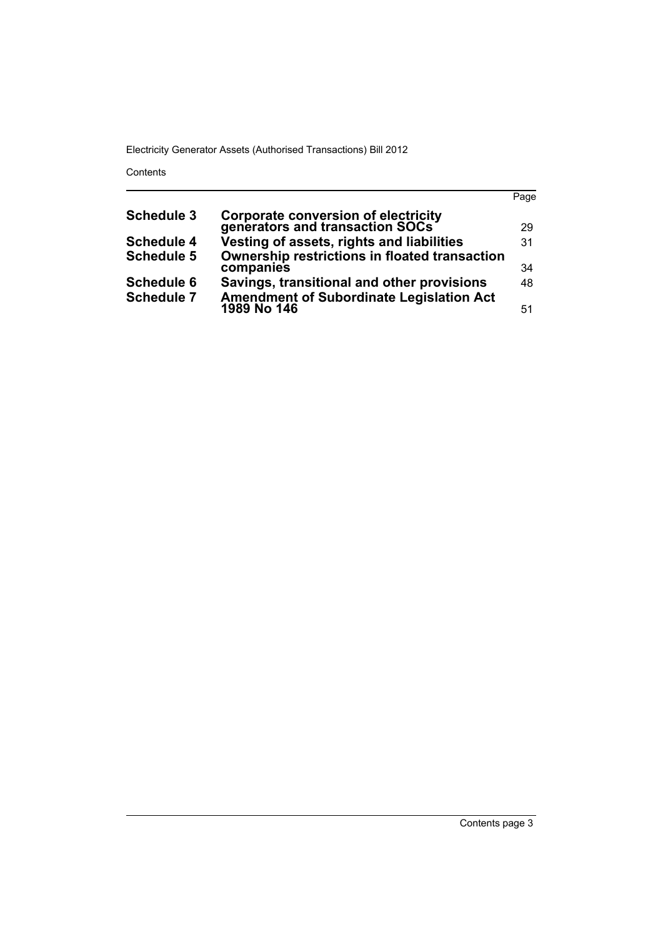Contents

|                                               | Page                                                                                                                                                      |
|-----------------------------------------------|-----------------------------------------------------------------------------------------------------------------------------------------------------------|
|                                               |                                                                                                                                                           |
|                                               | 29                                                                                                                                                        |
| Vesting of assets, rights and liabilities     | 31                                                                                                                                                        |
| Ownership restrictions in floated transaction |                                                                                                                                                           |
|                                               | 34                                                                                                                                                        |
| Savings, transitional and other provisions    | 48.                                                                                                                                                       |
|                                               |                                                                                                                                                           |
|                                               | 51                                                                                                                                                        |
|                                               | <b>Corporate conversion of electricity generators and transaction SOCs</b><br>companies<br><b>Amendment of Subordinate Legislation Act</b><br>1989 No 146 |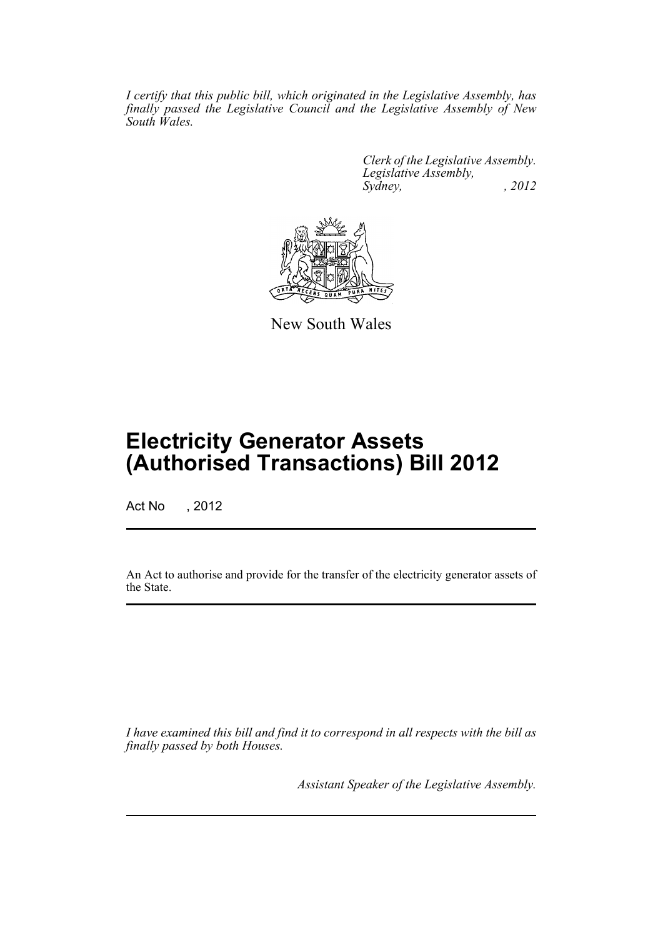*I certify that this public bill, which originated in the Legislative Assembly, has finally passed the Legislative Council and the Legislative Assembly of New South Wales.*

> *Clerk of the Legislative Assembly. Legislative Assembly, Sydney, , 2012*



New South Wales

# **Electricity Generator Assets (Authorised Transactions) Bill 2012**

Act No , 2012

An Act to authorise and provide for the transfer of the electricity generator assets of the State.

*I have examined this bill and find it to correspond in all respects with the bill as finally passed by both Houses.*

*Assistant Speaker of the Legislative Assembly.*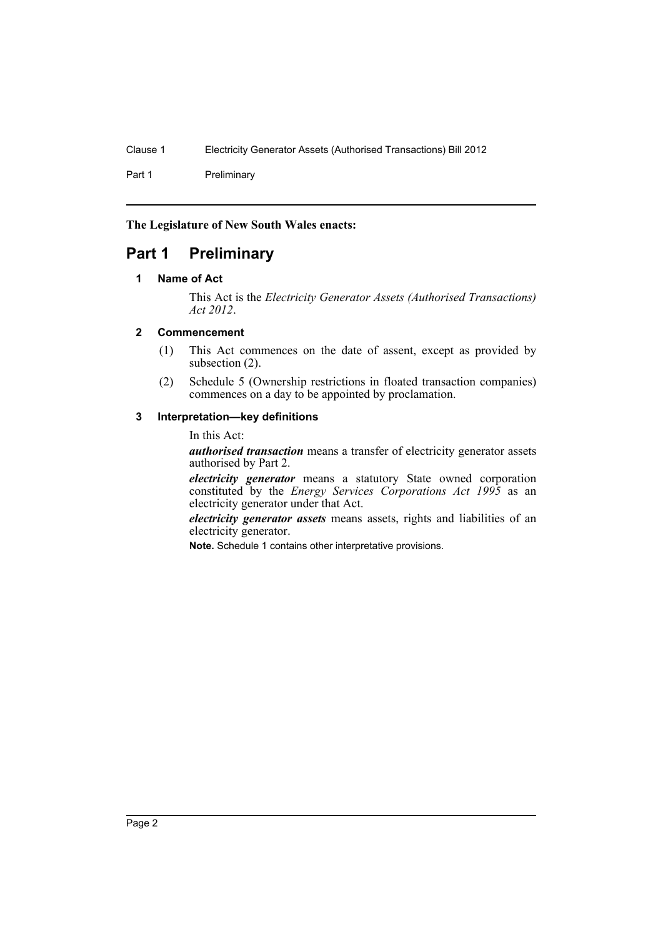Part 1 Preliminary

**The Legislature of New South Wales enacts:**

# <span id="page-5-1"></span><span id="page-5-0"></span>**Part 1 Preliminary**

### **1 Name of Act**

This Act is the *Electricity Generator Assets (Authorised Transactions) Act 2012*.

# <span id="page-5-2"></span>**2 Commencement**

- (1) This Act commences on the date of assent, except as provided by subsection (2).
- (2) Schedule 5 (Ownership restrictions in floated transaction companies) commences on a day to be appointed by proclamation.

### <span id="page-5-3"></span>**3 Interpretation—key definitions**

In this Act:

*authorised transaction* means a transfer of electricity generator assets authorised by Part 2.

*electricity generator* means a statutory State owned corporation constituted by the *Energy Services Corporations Act 1995* as an electricity generator under that Act.

*electricity generator assets* means assets, rights and liabilities of an electricity generator.

**Note.** Schedule 1 contains other interpretative provisions.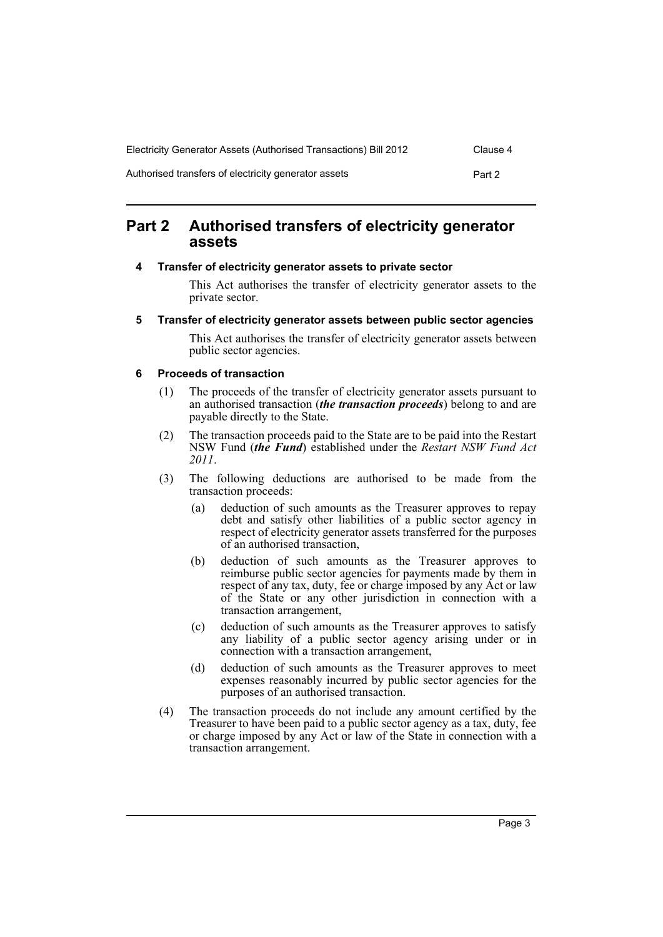| Electricity Generator Assets (Authorised Transactions) Bill 2012 | Clause 4 |
|------------------------------------------------------------------|----------|
| Authorised transfers of electricity generator assets             | Part 2   |

# <span id="page-6-0"></span>**Part 2 Authorised transfers of electricity generator assets**

### <span id="page-6-1"></span>**4 Transfer of electricity generator assets to private sector**

This Act authorises the transfer of electricity generator assets to the private sector.

#### <span id="page-6-2"></span>**5 Transfer of electricity generator assets between public sector agencies**

This Act authorises the transfer of electricity generator assets between public sector agencies.

### <span id="page-6-3"></span>**6 Proceeds of transaction**

- (1) The proceeds of the transfer of electricity generator assets pursuant to an authorised transaction (*the transaction proceeds*) belong to and are payable directly to the State.
- (2) The transaction proceeds paid to the State are to be paid into the Restart NSW Fund (*the Fund*) established under the *Restart NSW Fund Act 2011*.
- (3) The following deductions are authorised to be made from the transaction proceeds:
	- (a) deduction of such amounts as the Treasurer approves to repay debt and satisfy other liabilities of a public sector agency in respect of electricity generator assets transferred for the purposes of an authorised transaction,
	- (b) deduction of such amounts as the Treasurer approves to reimburse public sector agencies for payments made by them in respect of any tax, duty, fee or charge imposed by any Act or law of the State or any other jurisdiction in connection with a transaction arrangement,
	- (c) deduction of such amounts as the Treasurer approves to satisfy any liability of a public sector agency arising under or in connection with a transaction arrangement,
	- (d) deduction of such amounts as the Treasurer approves to meet expenses reasonably incurred by public sector agencies for the purposes of an authorised transaction.
- (4) The transaction proceeds do not include any amount certified by the Treasurer to have been paid to a public sector agency as a tax, duty, fee or charge imposed by any Act or law of the State in connection with a transaction arrangement.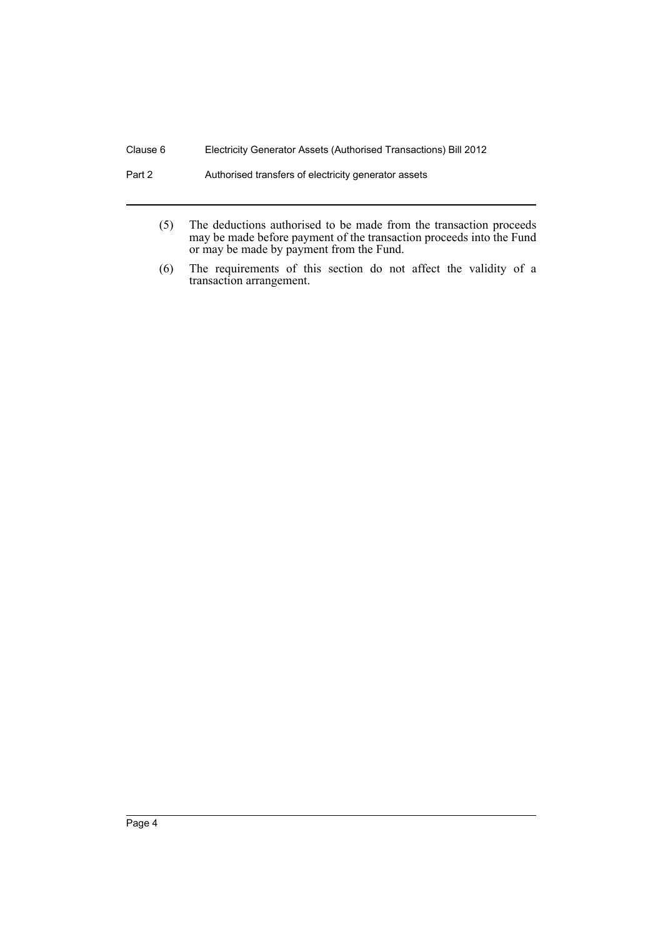#### Part 2 **Authorised transfers of electricity generator assets**

- (5) The deductions authorised to be made from the transaction proceeds may be made before payment of the transaction proceeds into the Fund or may be made by payment from the Fund.
- (6) The requirements of this section do not affect the validity of a transaction arrangement.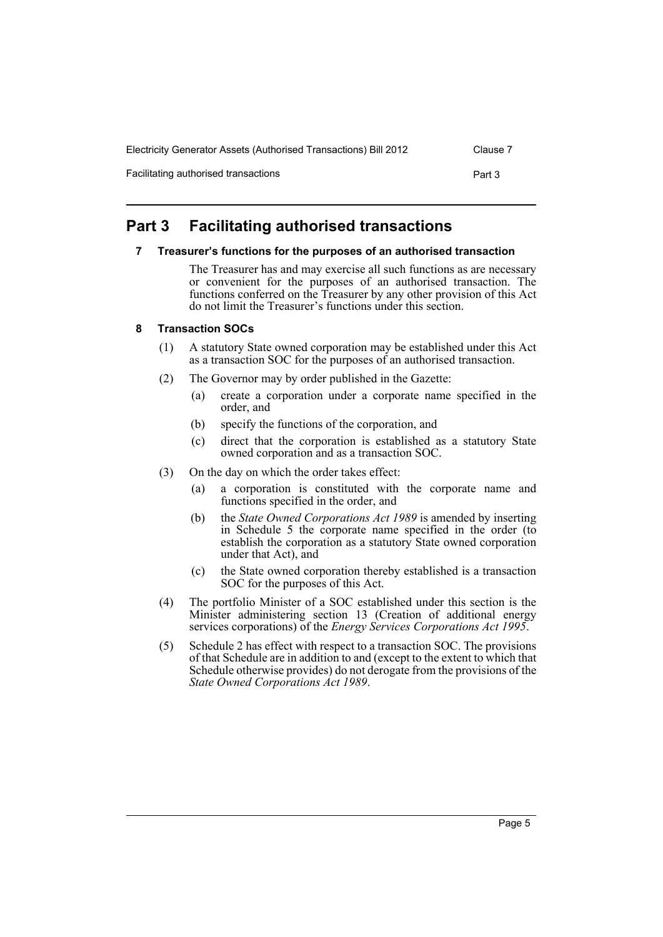| Electricity Generator Assets (Authorised Transactions) Bill 2012 | Clause 7 |
|------------------------------------------------------------------|----------|
| Facilitating authorised transactions                             | Part 3   |

# <span id="page-8-1"></span><span id="page-8-0"></span>**Part 3 Facilitating authorised transactions**

# **7 Treasurer's functions for the purposes of an authorised transaction**

The Treasurer has and may exercise all such functions as are necessary or convenient for the purposes of an authorised transaction. The functions conferred on the Treasurer by any other provision of this Act do not limit the Treasurer's functions under this section.

# <span id="page-8-2"></span>**8 Transaction SOCs**

- (1) A statutory State owned corporation may be established under this Act as a transaction SOC for the purposes of an authorised transaction.
- (2) The Governor may by order published in the Gazette:
	- (a) create a corporation under a corporate name specified in the order, and
	- (b) specify the functions of the corporation, and
	- (c) direct that the corporation is established as a statutory State owned corporation and as a transaction SOC.
- (3) On the day on which the order takes effect:
	- (a) a corporation is constituted with the corporate name and functions specified in the order, and
	- (b) the *State Owned Corporations Act 1989* is amended by inserting in Schedule 5 the corporate name specified in the order (to establish the corporation as a statutory State owned corporation under that Act), and
	- (c) the State owned corporation thereby established is a transaction SOC for the purposes of this Act.
- (4) The portfolio Minister of a SOC established under this section is the Minister administering section 13 (Creation of additional energy services corporations) of the *Energy Services Corporations Act 1995*.
- (5) Schedule 2 has effect with respect to a transaction SOC. The provisions of that Schedule are in addition to and (except to the extent to which that Schedule otherwise provides) do not derogate from the provisions of the *State Owned Corporations Act 1989*.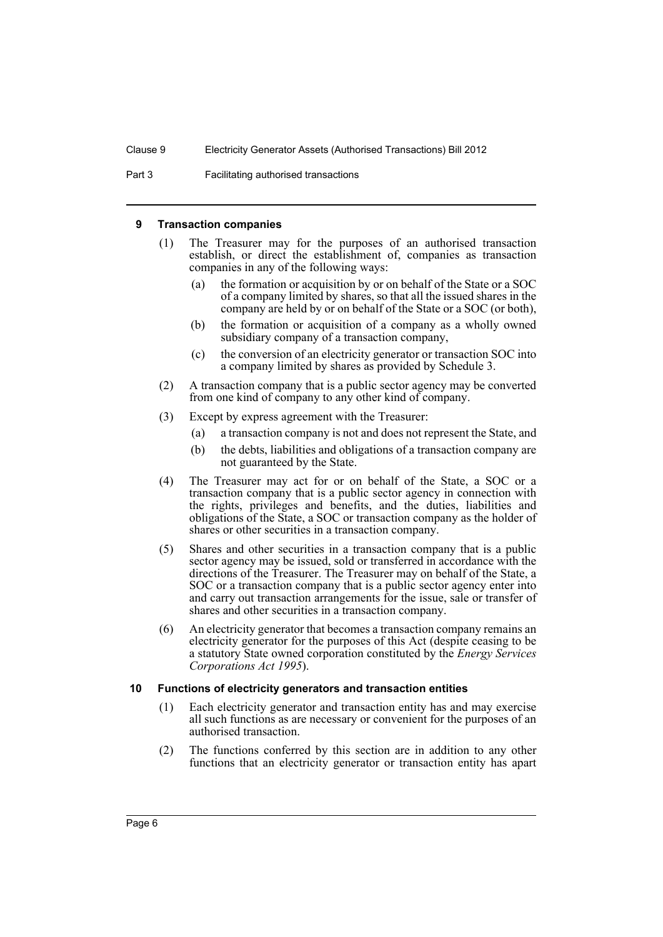Part 3 Facilitating authorised transactions

#### <span id="page-9-0"></span>**9 Transaction companies**

- (1) The Treasurer may for the purposes of an authorised transaction establish, or direct the establishment of, companies as transaction companies in any of the following ways:
	- (a) the formation or acquisition by or on behalf of the State or a SOC of a company limited by shares, so that all the issued shares in the company are held by or on behalf of the State or a SOC (or both),
	- (b) the formation or acquisition of a company as a wholly owned subsidiary company of a transaction company,
	- (c) the conversion of an electricity generator or transaction SOC into a company limited by shares as provided by Schedule 3.
- (2) A transaction company that is a public sector agency may be converted from one kind of company to any other kind of company.
- (3) Except by express agreement with the Treasurer:
	- (a) a transaction company is not and does not represent the State, and
	- (b) the debts, liabilities and obligations of a transaction company are not guaranteed by the State.
- (4) The Treasurer may act for or on behalf of the State, a SOC or a transaction company that is a public sector agency in connection with the rights, privileges and benefits, and the duties, liabilities and obligations of the State, a SOC or transaction company as the holder of shares or other securities in a transaction company.
- (5) Shares and other securities in a transaction company that is a public sector agency may be issued, sold or transferred in accordance with the directions of the Treasurer. The Treasurer may on behalf of the State, a SOC or a transaction company that is a public sector agency enter into and carry out transaction arrangements for the issue, sale or transfer of shares and other securities in a transaction company.
- (6) An electricity generator that becomes a transaction company remains an electricity generator for the purposes of this Act (despite ceasing to be a statutory State owned corporation constituted by the *Energy Services Corporations Act 1995*).

# <span id="page-9-1"></span>**10 Functions of electricity generators and transaction entities**

- (1) Each electricity generator and transaction entity has and may exercise all such functions as are necessary or convenient for the purposes of an authorised transaction.
- (2) The functions conferred by this section are in addition to any other functions that an electricity generator or transaction entity has apart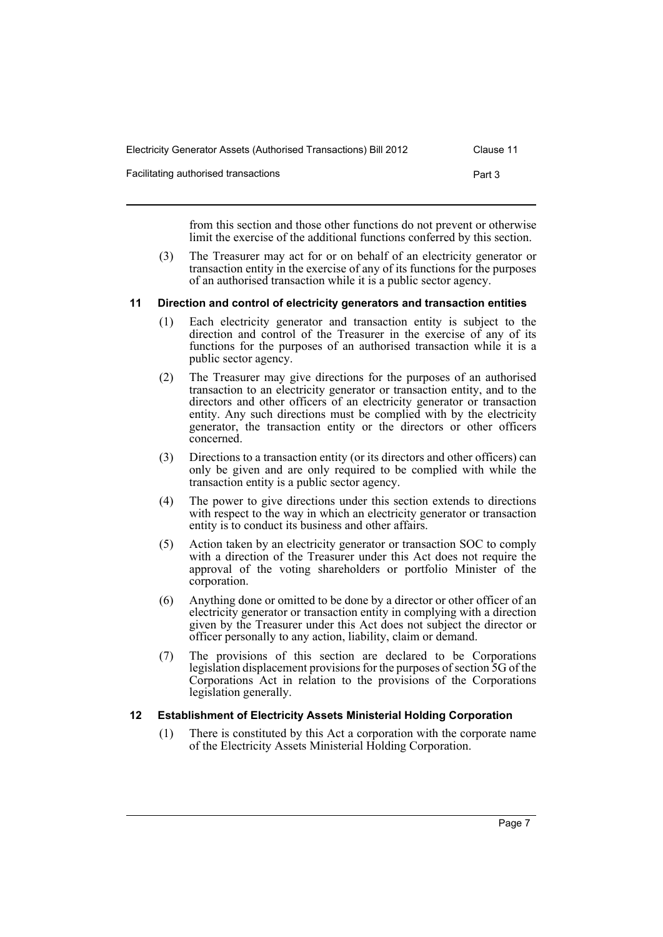| Electricity Generator Assets (Authorised Transactions) Bill 2012 | Clause 11 |
|------------------------------------------------------------------|-----------|
| Facilitating authorised transactions                             | Part 3    |

from this section and those other functions do not prevent or otherwise limit the exercise of the additional functions conferred by this section.

(3) The Treasurer may act for or on behalf of an electricity generator or transaction entity in the exercise of any of its functions for the purposes of an authorised transaction while it is a public sector agency.

#### <span id="page-10-0"></span>**11 Direction and control of electricity generators and transaction entities**

- (1) Each electricity generator and transaction entity is subject to the direction and control of the Treasurer in the exercise of any of its functions for the purposes of an authorised transaction while it is a public sector agency.
- (2) The Treasurer may give directions for the purposes of an authorised transaction to an electricity generator or transaction entity, and to the directors and other officers of an electricity generator or transaction entity. Any such directions must be complied with by the electricity generator, the transaction entity or the directors or other officers concerned.
- (3) Directions to a transaction entity (or its directors and other officers) can only be given and are only required to be complied with while the transaction entity is a public sector agency.
- (4) The power to give directions under this section extends to directions with respect to the way in which an electricity generator or transaction entity is to conduct its business and other affairs.
- (5) Action taken by an electricity generator or transaction SOC to comply with a direction of the Treasurer under this Act does not require the approval of the voting shareholders or portfolio Minister of the corporation.
- (6) Anything done or omitted to be done by a director or other officer of an electricity generator or transaction entity in complying with a direction given by the Treasurer under this Act does not subject the director or officer personally to any action, liability, claim or demand.
- (7) The provisions of this section are declared to be Corporations legislation displacement provisions for the purposes of section 5G of the Corporations Act in relation to the provisions of the Corporations legislation generally.

# <span id="page-10-1"></span>**12 Establishment of Electricity Assets Ministerial Holding Corporation**

(1) There is constituted by this Act a corporation with the corporate name of the Electricity Assets Ministerial Holding Corporation.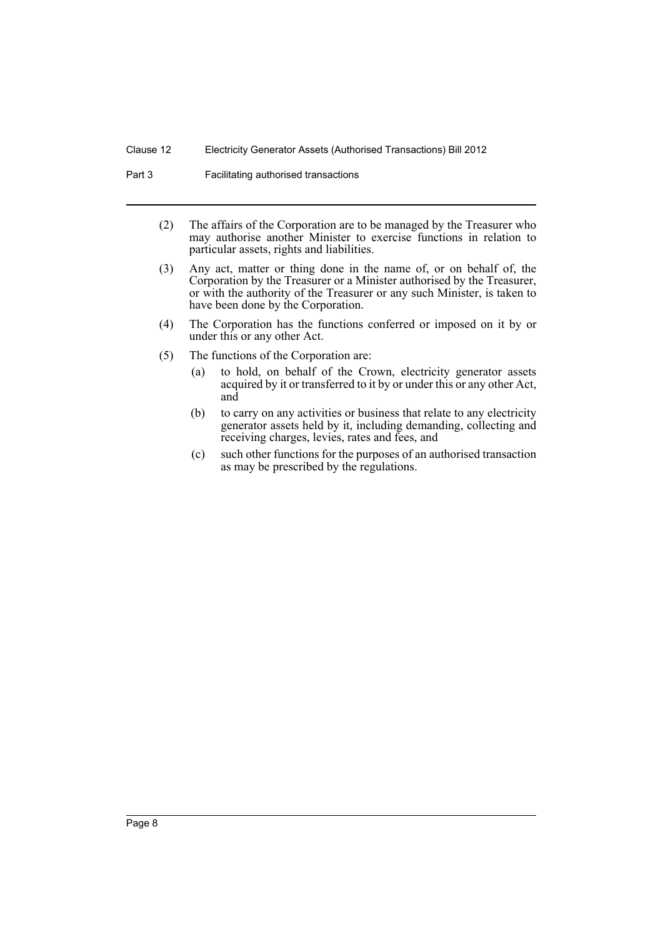Part 3 **Facilitating authorised transactions** 

- (2) The affairs of the Corporation are to be managed by the Treasurer who may authorise another Minister to exercise functions in relation to particular assets, rights and liabilities.
- (3) Any act, matter or thing done in the name of, or on behalf of, the Corporation by the Treasurer or a Minister authorised by the Treasurer, or with the authority of the Treasurer or any such Minister, is taken to have been done by the Corporation.
- (4) The Corporation has the functions conferred or imposed on it by or under this or any other Act.
- (5) The functions of the Corporation are:
	- (a) to hold, on behalf of the Crown, electricity generator assets acquired by it or transferred to it by or under this or any other Act, and
	- (b) to carry on any activities or business that relate to any electricity generator assets held by it, including demanding, collecting and receiving charges, levies, rates and fees, and
	- (c) such other functions for the purposes of an authorised transaction as may be prescribed by the regulations.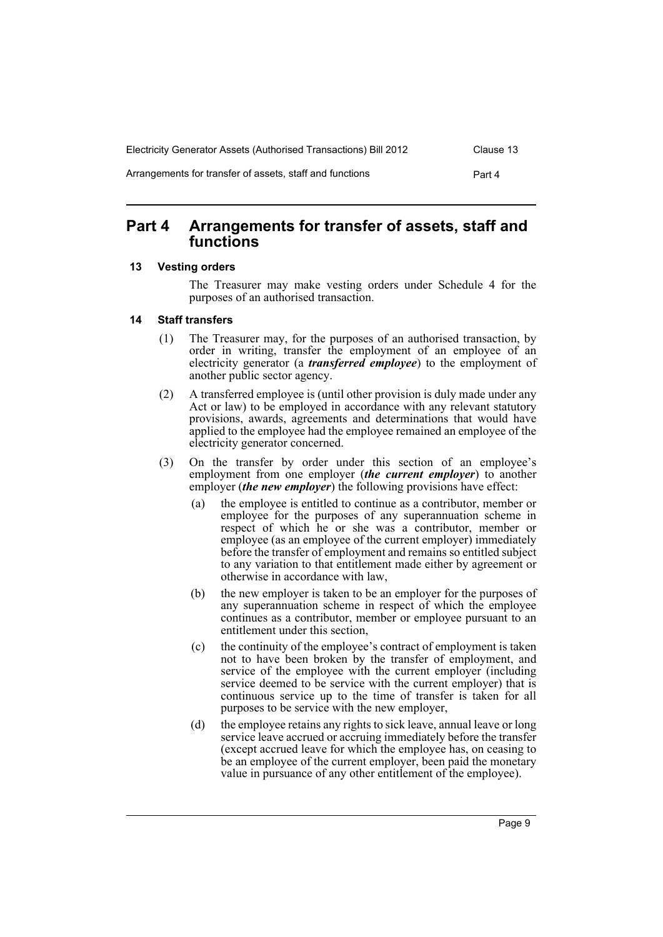| Electricity Generator Assets (Authorised Transactions) Bill 2012 | Clause 13 |
|------------------------------------------------------------------|-----------|
| Arrangements for transfer of assets, staff and functions         | Part 4    |

# <span id="page-12-0"></span>**Part 4 Arrangements for transfer of assets, staff and functions**

# <span id="page-12-1"></span>**13 Vesting orders**

The Treasurer may make vesting orders under Schedule 4 for the purposes of an authorised transaction.

### <span id="page-12-2"></span>**14 Staff transfers**

- (1) The Treasurer may, for the purposes of an authorised transaction, by order in writing, transfer the employment of an employee of an electricity generator (a *transferred employee*) to the employment of another public sector agency.
- (2) A transferred employee is (until other provision is duly made under any Act or law) to be employed in accordance with any relevant statutory provisions, awards, agreements and determinations that would have applied to the employee had the employee remained an employee of the electricity generator concerned.
- (3) On the transfer by order under this section of an employee's employment from one employer (*the current employer*) to another employer (*the new employer*) the following provisions have effect:
	- (a) the employee is entitled to continue as a contributor, member or employee for the purposes of any superannuation scheme in respect of which he or she was a contributor, member or employee (as an employee of the current employer) immediately before the transfer of employment and remains so entitled subject to any variation to that entitlement made either by agreement or otherwise in accordance with law,
	- (b) the new employer is taken to be an employer for the purposes of any superannuation scheme in respect of which the employee continues as a contributor, member or employee pursuant to an entitlement under this section,
	- (c) the continuity of the employee's contract of employment is taken not to have been broken by the transfer of employment, and service of the employee with the current employer (including service deemed to be service with the current employer) that is continuous service up to the time of transfer is taken for all purposes to be service with the new employer,
	- (d) the employee retains any rights to sick leave, annual leave or long service leave accrued or accruing immediately before the transfer (except accrued leave for which the employee has, on ceasing to be an employee of the current employer, been paid the monetary value in pursuance of any other entitlement of the employee).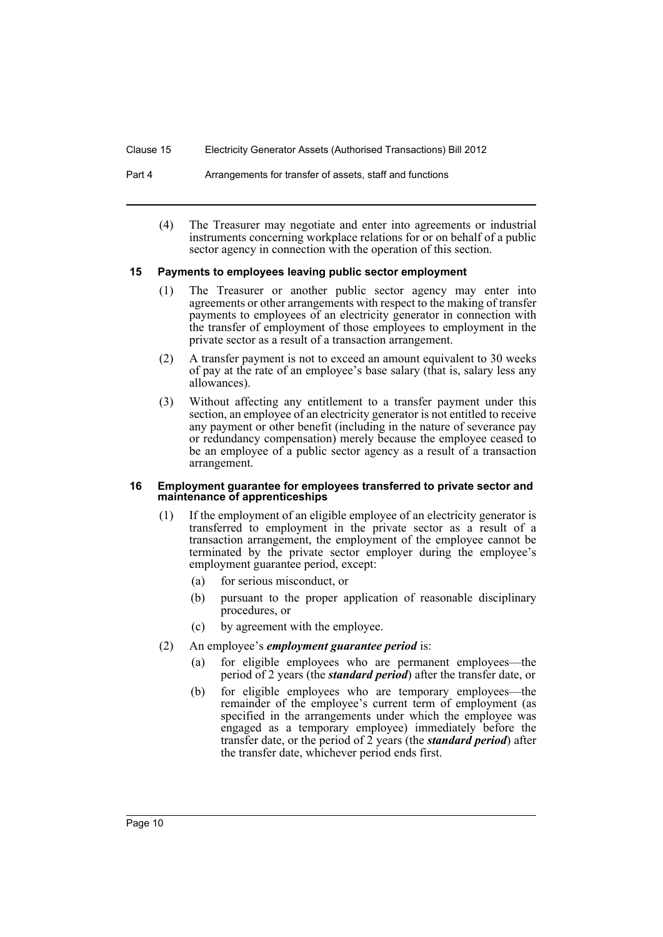#### Part 4 **Arrangements for transfer of assets, staff and functions**

(4) The Treasurer may negotiate and enter into agreements or industrial instruments concerning workplace relations for or on behalf of a public sector agency in connection with the operation of this section.

### <span id="page-13-0"></span>**15 Payments to employees leaving public sector employment**

- (1) The Treasurer or another public sector agency may enter into agreements or other arrangements with respect to the making of transfer payments to employees of an electricity generator in connection with the transfer of employment of those employees to employment in the private sector as a result of a transaction arrangement.
- (2) A transfer payment is not to exceed an amount equivalent to 30 weeks of pay at the rate of an employee's base salary (that is, salary less any allowances).
- (3) Without affecting any entitlement to a transfer payment under this section, an employee of an electricity generator is not entitled to receive any payment or other benefit (including in the nature of severance pay or redundancy compensation) merely because the employee ceased to be an employee of a public sector agency as a result of a transaction arrangement.

#### <span id="page-13-1"></span>**16 Employment guarantee for employees transferred to private sector and maintenance of apprenticeships**

- (1) If the employment of an eligible employee of an electricity generator is transferred to employment in the private sector as a result of a transaction arrangement, the employment of the employee cannot be terminated by the private sector employer during the employee's employment guarantee period, except:
	- (a) for serious misconduct, or
	- (b) pursuant to the proper application of reasonable disciplinary procedures, or
	- (c) by agreement with the employee.
- (2) An employee's *employment guarantee period* is:
	- (a) for eligible employees who are permanent employees—the period of 2 years (the *standard period*) after the transfer date, or
	- (b) for eligible employees who are temporary employees—the remainder of the employee's current term of employment (as specified in the arrangements under which the employee was engaged as a temporary employee) immediately before the transfer date, or the period of 2 years (the *standard period*) after the transfer date, whichever period ends first.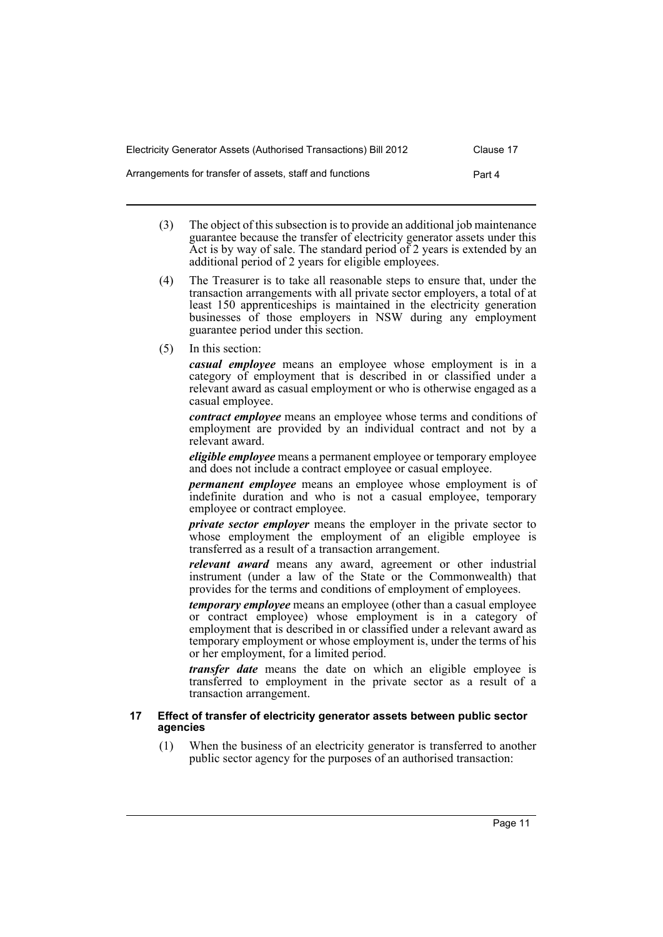| Electricity Generator Assets (Authorised Transactions) Bill 2012 | Clause 17 |
|------------------------------------------------------------------|-----------|
| Arrangements for transfer of assets, staff and functions         | Part 4    |

- (3) The object of this subsection is to provide an additional job maintenance guarantee because the transfer of electricity generator assets under this Act is by way of sale. The standard period of 2 years is extended by an additional period of 2 years for eligible employees.
- (4) The Treasurer is to take all reasonable steps to ensure that, under the transaction arrangements with all private sector employers, a total of at least 150 apprenticeships is maintained in the electricity generation businesses of those employers in NSW during any employment guarantee period under this section.
- (5) In this section:

*casual employee* means an employee whose employment is in a category of employment that is described in or classified under a relevant award as casual employment or who is otherwise engaged as a casual employee.

*contract employee* means an employee whose terms and conditions of employment are provided by an individual contract and not by a relevant award.

*eligible employee* means a permanent employee or temporary employee and does not include a contract employee or casual employee.

*permanent employee* means an employee whose employment is of indefinite duration and who is not a casual employee, temporary employee or contract employee.

*private sector employer* means the employer in the private sector to whose employment the employment of an eligible employee is transferred as a result of a transaction arrangement.

*relevant award* means any award, agreement or other industrial instrument (under a law of the State or the Commonwealth) that provides for the terms and conditions of employment of employees.

*temporary employee* means an employee (other than a casual employee or contract employee) whose employment is in a category of employment that is described in or classified under a relevant award as temporary employment or whose employment is, under the terms of his or her employment, for a limited period.

*transfer date* means the date on which an eligible employee is transferred to employment in the private sector as a result of a transaction arrangement.

#### <span id="page-14-0"></span>**17 Effect of transfer of electricity generator assets between public sector agencies**

(1) When the business of an electricity generator is transferred to another public sector agency for the purposes of an authorised transaction: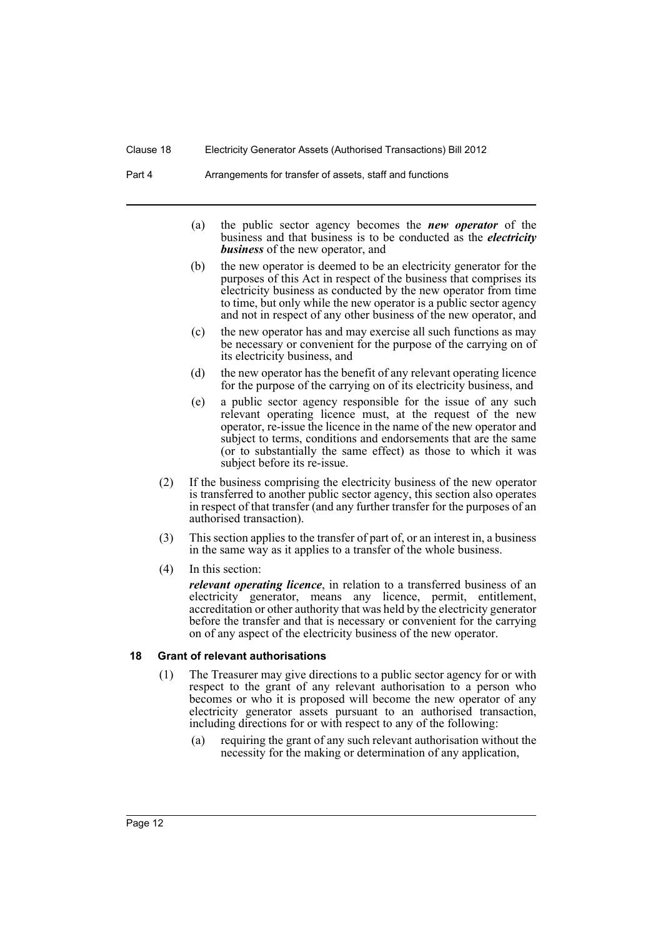- (a) the public sector agency becomes the *new operator* of the business and that business is to be conducted as the *electricity business* of the new operator, and
- (b) the new operator is deemed to be an electricity generator for the purposes of this Act in respect of the business that comprises its electricity business as conducted by the new operator from time to time, but only while the new operator is a public sector agency and not in respect of any other business of the new operator, and
- (c) the new operator has and may exercise all such functions as may be necessary or convenient for the purpose of the carrying on of its electricity business, and
- (d) the new operator has the benefit of any relevant operating licence for the purpose of the carrying on of its electricity business, and
- (e) a public sector agency responsible for the issue of any such relevant operating licence must, at the request of the new operator, re-issue the licence in the name of the new operator and subject to terms, conditions and endorsements that are the same (or to substantially the same effect) as those to which it was subject before its re-issue.
- (2) If the business comprising the electricity business of the new operator is transferred to another public sector agency, this section also operates in respect of that transfer (and any further transfer for the purposes of an authorised transaction).
- (3) This section applies to the transfer of part of, or an interest in, a business in the same way as it applies to a transfer of the whole business.
- (4) In this section:

*relevant operating licence*, in relation to a transferred business of an electricity generator, means any licence, permit, entitlement, accreditation or other authority that was held by the electricity generator before the transfer and that is necessary or convenient for the carrying on of any aspect of the electricity business of the new operator.

#### <span id="page-15-0"></span>**18 Grant of relevant authorisations**

- (1) The Treasurer may give directions to a public sector agency for or with respect to the grant of any relevant authorisation to a person who becomes or who it is proposed will become the new operator of any electricity generator assets pursuant to an authorised transaction, including directions for or with respect to any of the following:
	- (a) requiring the grant of any such relevant authorisation without the necessity for the making or determination of any application,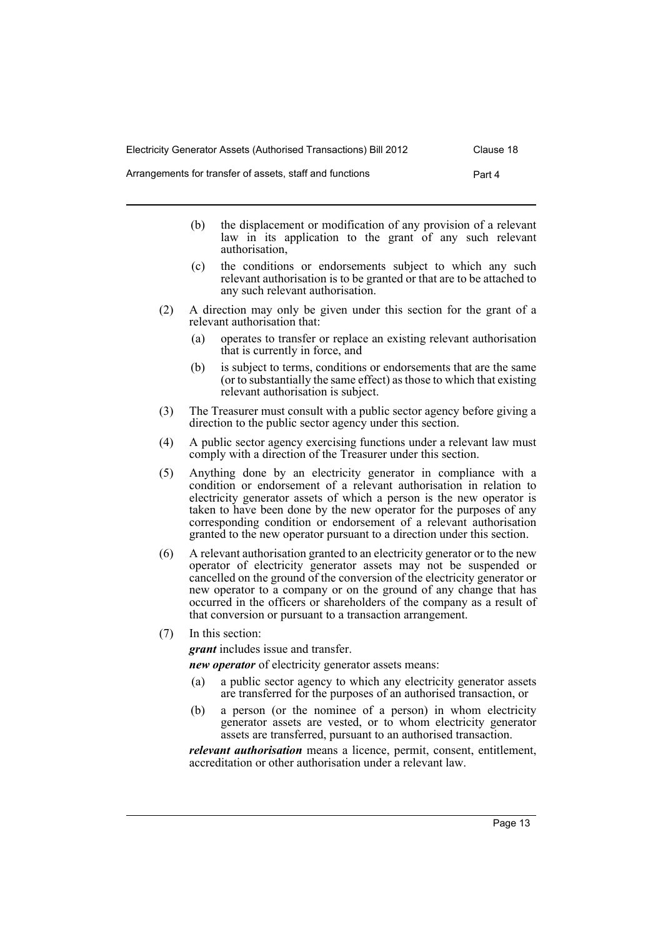| Electricity Generator Assets (Authorised Transactions) Bill 2012 | Clause 18 |
|------------------------------------------------------------------|-----------|
| Arrangements for transfer of assets, staff and functions         | Part 4    |

- (b) the displacement or modification of any provision of a relevant law in its application to the grant of any such relevant authorisation,
- (c) the conditions or endorsements subject to which any such relevant authorisation is to be granted or that are to be attached to any such relevant authorisation.
- (2) A direction may only be given under this section for the grant of a relevant authorisation that:
	- (a) operates to transfer or replace an existing relevant authorisation that is currently in force, and
	- (b) is subject to terms, conditions or endorsements that are the same (or to substantially the same effect) as those to which that existing relevant authorisation is subject.
- (3) The Treasurer must consult with a public sector agency before giving a direction to the public sector agency under this section.
- (4) A public sector agency exercising functions under a relevant law must comply with a direction of the Treasurer under this section.
- (5) Anything done by an electricity generator in compliance with a condition or endorsement of a relevant authorisation in relation to electricity generator assets of which a person is the new operator is taken to have been done by the new operator for the purposes of any corresponding condition or endorsement of a relevant authorisation granted to the new operator pursuant to a direction under this section.
- (6) A relevant authorisation granted to an electricity generator or to the new operator of electricity generator assets may not be suspended or cancelled on the ground of the conversion of the electricity generator or new operator to a company or on the ground of any change that has occurred in the officers or shareholders of the company as a result of that conversion or pursuant to a transaction arrangement.
- (7) In this section:

*grant* includes issue and transfer.

*new operator* of electricity generator assets means:

- (a) a public sector agency to which any electricity generator assets are transferred for the purposes of an authorised transaction, or
- (b) a person (or the nominee of a person) in whom electricity generator assets are vested, or to whom electricity generator assets are transferred, pursuant to an authorised transaction.

*relevant authorisation* means a licence, permit, consent, entitlement, accreditation or other authorisation under a relevant law.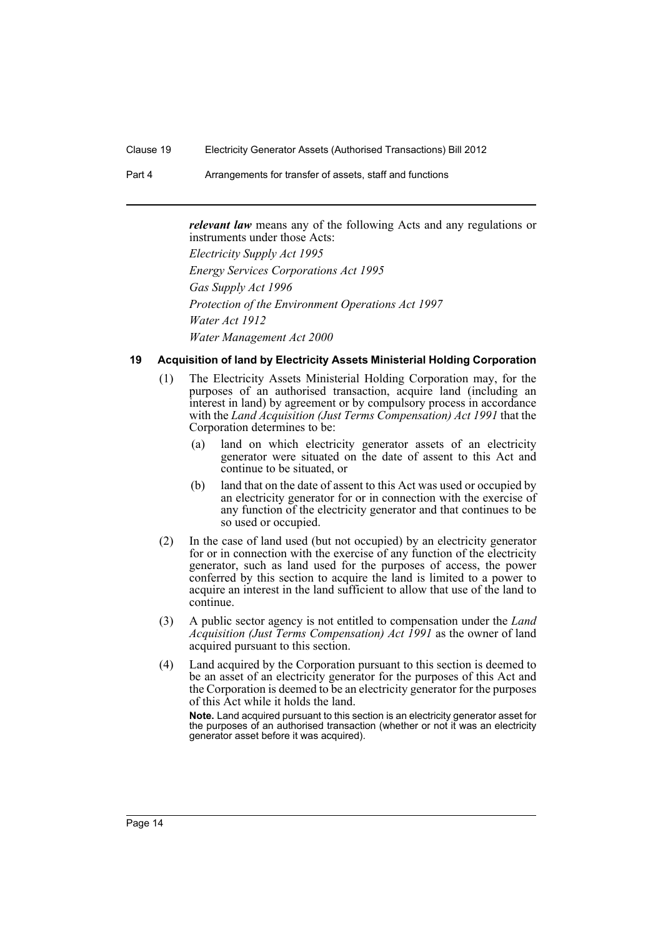Part 4 **Arrangements for transfer of assets, staff and functions** 

*relevant law* means any of the following Acts and any regulations or instruments under those Acts:

*Electricity Supply Act 1995 Energy Services Corporations Act 1995 Gas Supply Act 1996 Protection of the Environment Operations Act 1997 Water Act 1912 Water Management Act 2000*

# <span id="page-17-0"></span>**19 Acquisition of land by Electricity Assets Ministerial Holding Corporation**

- (1) The Electricity Assets Ministerial Holding Corporation may, for the purposes of an authorised transaction, acquire land (including an interest in land) by agreement or by compulsory process in accordance with the *Land Acquisition (Just Terms Compensation) Act 1991* that the Corporation determines to be:
	- (a) land on which electricity generator assets of an electricity generator were situated on the date of assent to this Act and continue to be situated, or
	- (b) land that on the date of assent to this Act was used or occupied by an electricity generator for or in connection with the exercise of any function of the electricity generator and that continues to be so used or occupied.
- (2) In the case of land used (but not occupied) by an electricity generator for or in connection with the exercise of any function of the electricity generator, such as land used for the purposes of access, the power conferred by this section to acquire the land is limited to a power to acquire an interest in the land sufficient to allow that use of the land to continue.
- (3) A public sector agency is not entitled to compensation under the *Land Acquisition (Just Terms Compensation) Act 1991* as the owner of land acquired pursuant to this section.
- (4) Land acquired by the Corporation pursuant to this section is deemed to be an asset of an electricity generator for the purposes of this Act and the Corporation is deemed to be an electricity generator for the purposes of this Act while it holds the land.

**Note.** Land acquired pursuant to this section is an electricity generator asset for the purposes of an authorised transaction (whether or not it was an electricity generator asset before it was acquired).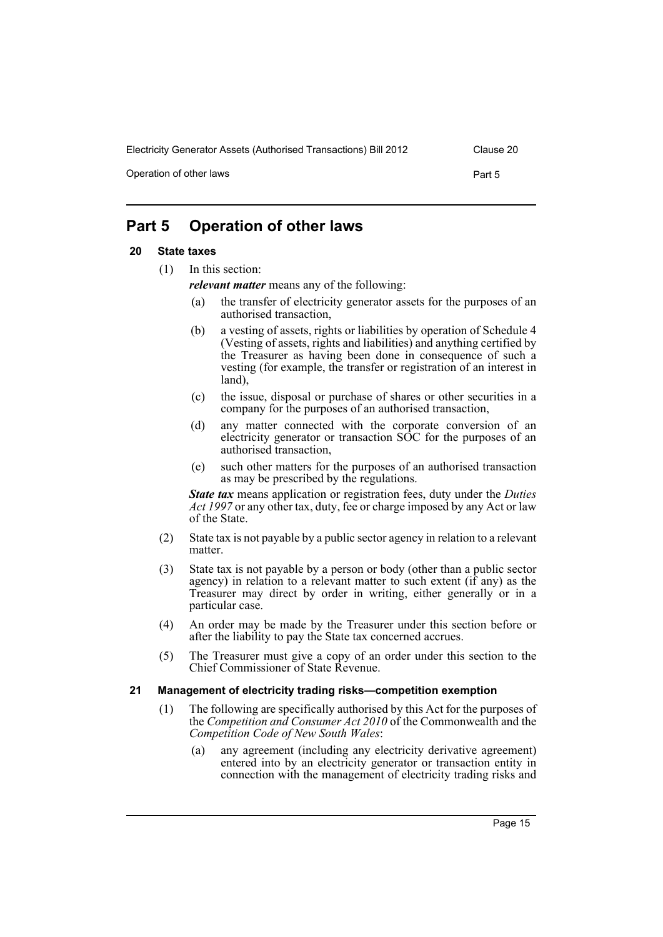Operation of other laws **Part 5** 

# <span id="page-18-0"></span>**Part 5 Operation of other laws**

# <span id="page-18-1"></span>**20 State taxes**

(1) In this section:

*relevant matter* means any of the following:

- (a) the transfer of electricity generator assets for the purposes of an authorised transaction,
- (b) a vesting of assets, rights or liabilities by operation of Schedule 4 (Vesting of assets, rights and liabilities) and anything certified by the Treasurer as having been done in consequence of such a vesting (for example, the transfer or registration of an interest in land),
- (c) the issue, disposal or purchase of shares or other securities in a company for the purposes of an authorised transaction,
- (d) any matter connected with the corporate conversion of an electricity generator or transaction SOC for the purposes of an authorised transaction,
- (e) such other matters for the purposes of an authorised transaction as may be prescribed by the regulations.

*State tax* means application or registration fees, duty under the *Duties Act 1997* or any other tax, duty, fee or charge imposed by any Act or law of the State.

- (2) State tax is not payable by a public sector agency in relation to a relevant matter.
- (3) State tax is not payable by a person or body (other than a public sector agency) in relation to a relevant matter to such extent (if any) as the Treasurer may direct by order in writing, either generally or in a particular case.
- (4) An order may be made by the Treasurer under this section before or after the liability to pay the State tax concerned accrues.
- (5) The Treasurer must give a copy of an order under this section to the Chief Commissioner of State Revenue.

# <span id="page-18-2"></span>**21 Management of electricity trading risks—competition exemption**

- (1) The following are specifically authorised by this Act for the purposes of the *Competition and Consumer Act 2010* of the Commonwealth and the *Competition Code of New South Wales*:
	- (a) any agreement (including any electricity derivative agreement) entered into by an electricity generator or transaction entity in connection with the management of electricity trading risks and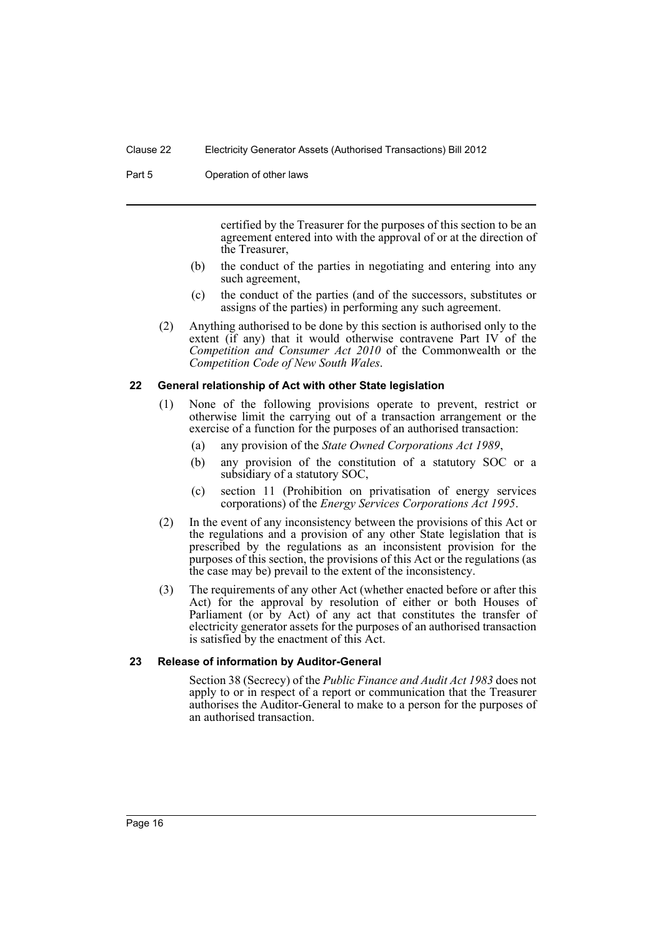#### Part 5 **Operation of other laws**

certified by the Treasurer for the purposes of this section to be an agreement entered into with the approval of or at the direction of the Treasurer,

- (b) the conduct of the parties in negotiating and entering into any such agreement,
- (c) the conduct of the parties (and of the successors, substitutes or assigns of the parties) in performing any such agreement.
- (2) Anything authorised to be done by this section is authorised only to the extent (if any) that it would otherwise contravene Part IV of the *Competition and Consumer Act 2010* of the Commonwealth or the *Competition Code of New South Wales*.

#### <span id="page-19-0"></span>**22 General relationship of Act with other State legislation**

- (1) None of the following provisions operate to prevent, restrict or otherwise limit the carrying out of a transaction arrangement or the exercise of a function for the purposes of an authorised transaction:
	- (a) any provision of the *State Owned Corporations Act 1989*,
	- (b) any provision of the constitution of a statutory SOC or a subsidiary of a statutory SOC,
	- (c) section 11 (Prohibition on privatisation of energy services corporations) of the *Energy Services Corporations Act 1995*.
- (2) In the event of any inconsistency between the provisions of this Act or the regulations and a provision of any other State legislation that is prescribed by the regulations as an inconsistent provision for the purposes of this section, the provisions of this Act or the regulations (as the case may be) prevail to the extent of the inconsistency.
- (3) The requirements of any other Act (whether enacted before or after this Act) for the approval by resolution of either or both Houses of Parliament (or by Act) of any act that constitutes the transfer of electricity generator assets for the purposes of an authorised transaction is satisfied by the enactment of this Act.

#### <span id="page-19-1"></span>**23 Release of information by Auditor-General**

Section 38 (Secrecy) of the *Public Finance and Audit Act 1983* does not apply to or in respect of a report or communication that the Treasurer authorises the Auditor-General to make to a person for the purposes of an authorised transaction.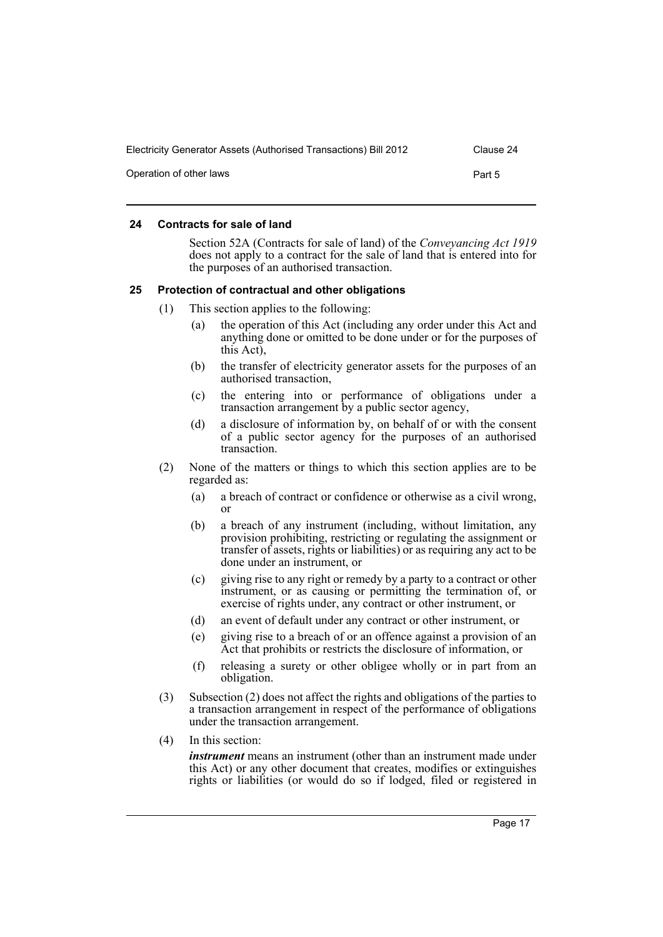| Electricity Generator Assets (Authorised Transactions) Bill 2012 | Clause 24 |
|------------------------------------------------------------------|-----------|
| Operation of other laws                                          | Part 5    |

### <span id="page-20-0"></span>**24 Contracts for sale of land**

Section 52A (Contracts for sale of land) of the *Conveyancing Act 1919* does not apply to a contract for the sale of land that is entered into for the purposes of an authorised transaction.

### <span id="page-20-1"></span>**25 Protection of contractual and other obligations**

- (1) This section applies to the following:
	- (a) the operation of this Act (including any order under this Act and anything done or omitted to be done under or for the purposes of this Act),
	- (b) the transfer of electricity generator assets for the purposes of an authorised transaction,
	- (c) the entering into or performance of obligations under a transaction arrangement by a public sector agency,
	- (d) a disclosure of information by, on behalf of or with the consent of a public sector agency for the purposes of an authorised transaction.
- (2) None of the matters or things to which this section applies are to be regarded as:
	- (a) a breach of contract or confidence or otherwise as a civil wrong, or
	- (b) a breach of any instrument (including, without limitation, any provision prohibiting, restricting or regulating the assignment or transfer of assets, rights or liabilities) or as requiring any act to be done under an instrument, or
	- (c) giving rise to any right or remedy by a party to a contract or other instrument, or as causing or permitting the termination of, or exercise of rights under, any contract or other instrument, or
	- (d) an event of default under any contract or other instrument, or
	- (e) giving rise to a breach of or an offence against a provision of an Act that prohibits or restricts the disclosure of information, or
	- (f) releasing a surety or other obligee wholly or in part from an obligation.
- (3) Subsection (2) does not affect the rights and obligations of the parties to a transaction arrangement in respect of the performance of obligations under the transaction arrangement.
- (4) In this section:

*instrument* means an instrument (other than an instrument made under this Act) or any other document that creates, modifies or extinguishes rights or liabilities (or would do so if lodged, filed or registered in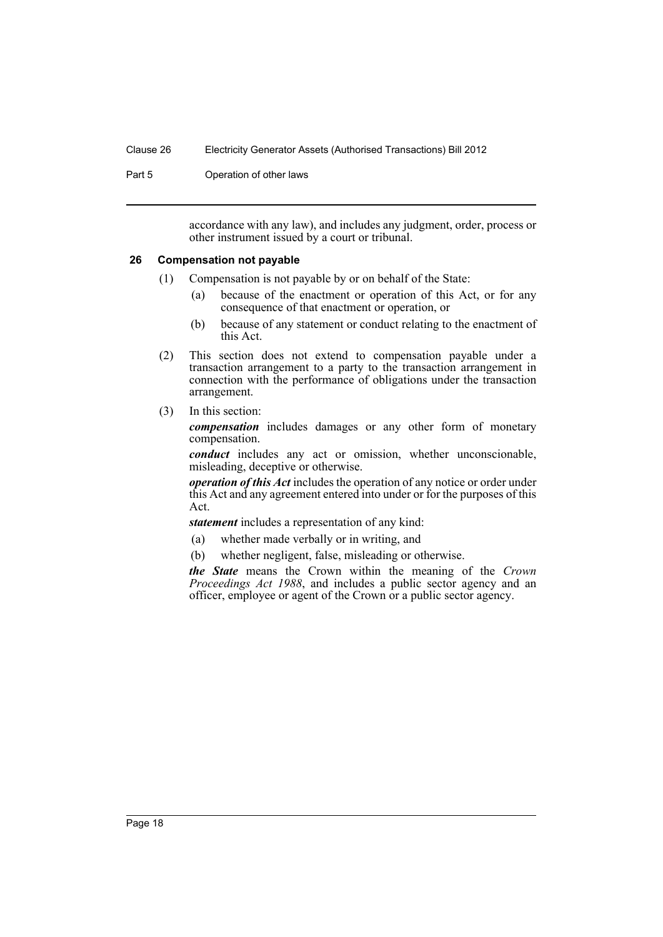Part 5 **Operation of other laws** 

accordance with any law), and includes any judgment, order, process or other instrument issued by a court or tribunal.

#### <span id="page-21-0"></span>**26 Compensation not payable**

- (1) Compensation is not payable by or on behalf of the State:
	- (a) because of the enactment or operation of this Act, or for any consequence of that enactment or operation, or
	- (b) because of any statement or conduct relating to the enactment of this Act.
- (2) This section does not extend to compensation payable under a transaction arrangement to a party to the transaction arrangement in connection with the performance of obligations under the transaction arrangement.
- (3) In this section:

*compensation* includes damages or any other form of monetary compensation.

*conduct* includes any act or omission, whether unconscionable, misleading, deceptive or otherwise.

*operation of this Act* includes the operation of any notice or order under this Act and any agreement entered into under or for the purposes of this Act.

*statement* includes a representation of any kind:

- (a) whether made verbally or in writing, and
- (b) whether negligent, false, misleading or otherwise.

*the State* means the Crown within the meaning of the *Crown Proceedings Act 1988*, and includes a public sector agency and an officer, employee or agent of the Crown or a public sector agency.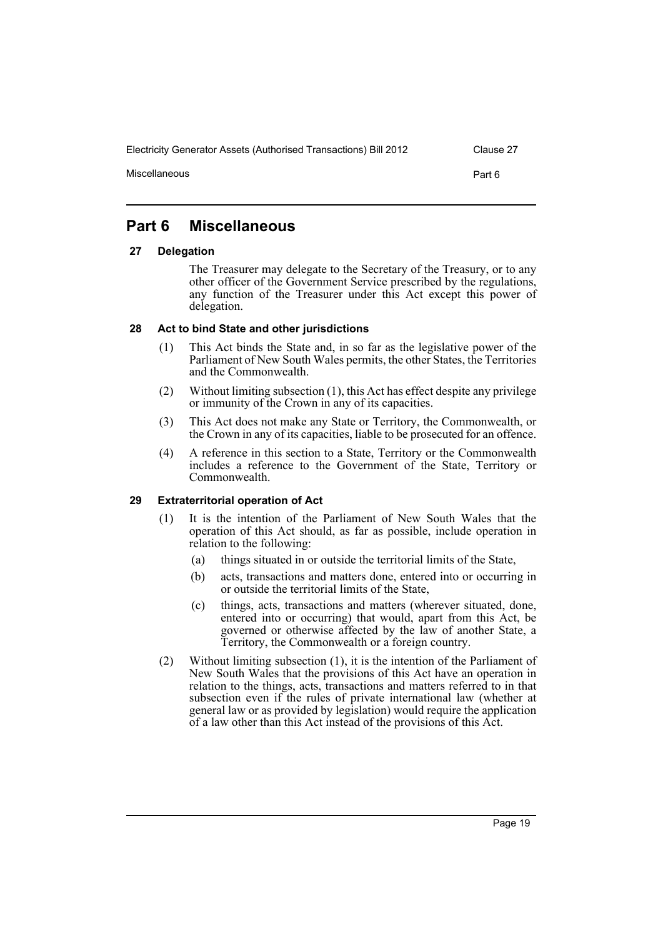Miscellaneous **Part 6** 

# <span id="page-22-0"></span>**Part 6 Miscellaneous**

# <span id="page-22-1"></span>**27 Delegation**

The Treasurer may delegate to the Secretary of the Treasury, or to any other officer of the Government Service prescribed by the regulations, any function of the Treasurer under this Act except this power of delegation.

# <span id="page-22-2"></span>**28 Act to bind State and other jurisdictions**

- (1) This Act binds the State and, in so far as the legislative power of the Parliament of New South Wales permits, the other States, the Territories and the Commonwealth.
- (2) Without limiting subsection (1), this Act has effect despite any privilege or immunity of the Crown in any of its capacities.
- (3) This Act does not make any State or Territory, the Commonwealth, or the Crown in any of its capacities, liable to be prosecuted for an offence.
- (4) A reference in this section to a State, Territory or the Commonwealth includes a reference to the Government of the State, Territory or Commonwealth.

# <span id="page-22-3"></span>**29 Extraterritorial operation of Act**

- (1) It is the intention of the Parliament of New South Wales that the operation of this Act should, as far as possible, include operation in relation to the following:
	- (a) things situated in or outside the territorial limits of the State,
	- (b) acts, transactions and matters done, entered into or occurring in or outside the territorial limits of the State,
	- (c) things, acts, transactions and matters (wherever situated, done, entered into or occurring) that would, apart from this Act, be governed or otherwise affected by the law of another State, a Territory, the Commonwealth or a foreign country.
- (2) Without limiting subsection (1), it is the intention of the Parliament of New South Wales that the provisions of this Act have an operation in relation to the things, acts, transactions and matters referred to in that subsection even if the rules of private international law (whether at general law or as provided by legislation) would require the application of a law other than this Act instead of the provisions of this Act.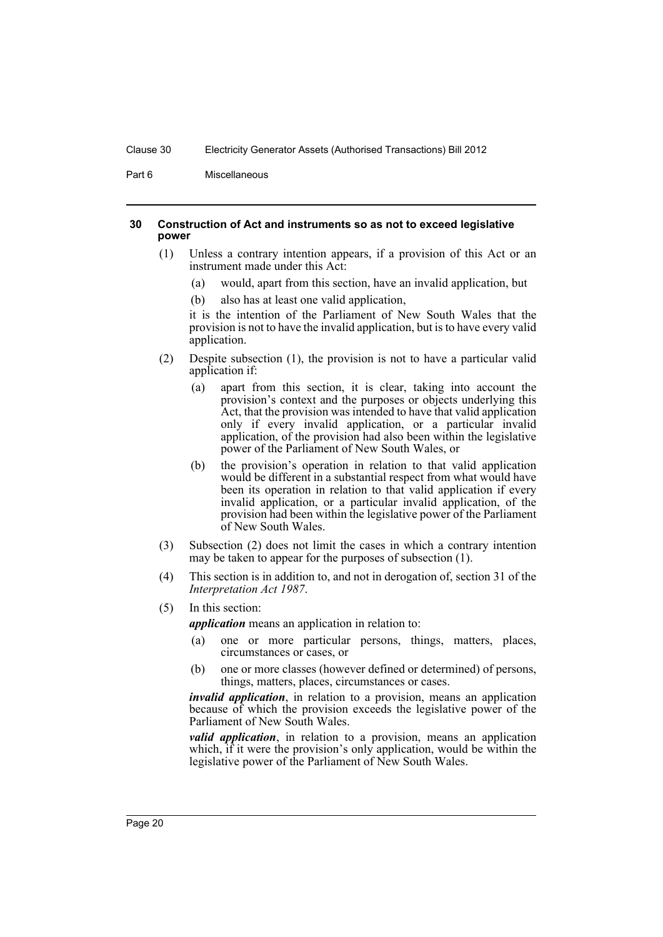Part 6 Miscellaneous

#### <span id="page-23-0"></span>**30 Construction of Act and instruments so as not to exceed legislative power**

- (1) Unless a contrary intention appears, if a provision of this Act or an instrument made under this Act:
	- (a) would, apart from this section, have an invalid application, but
	- (b) also has at least one valid application,

it is the intention of the Parliament of New South Wales that the provision is not to have the invalid application, but is to have every valid application.

- (2) Despite subsection (1), the provision is not to have a particular valid application if:
	- (a) apart from this section, it is clear, taking into account the provision's context and the purposes or objects underlying this Act, that the provision was intended to have that valid application only if every invalid application, or a particular invalid application, of the provision had also been within the legislative power of the Parliament of New South Wales, or
	- (b) the provision's operation in relation to that valid application would be different in a substantial respect from what would have been its operation in relation to that valid application if every invalid application, or a particular invalid application, of the provision had been within the legislative power of the Parliament of New South Wales.
- (3) Subsection (2) does not limit the cases in which a contrary intention may be taken to appear for the purposes of subsection (1).
- (4) This section is in addition to, and not in derogation of, section 31 of the *Interpretation Act 1987*.
- (5) In this section:

*application* means an application in relation to:

- (a) one or more particular persons, things, matters, places, circumstances or cases, or
- (b) one or more classes (however defined or determined) of persons, things, matters, places, circumstances or cases.

*invalid application*, in relation to a provision, means an application because of which the provision exceeds the legislative power of the Parliament of New South Wales.

*valid application*, in relation to a provision, means an application which, if it were the provision's only application, would be within the legislative power of the Parliament of New South Wales.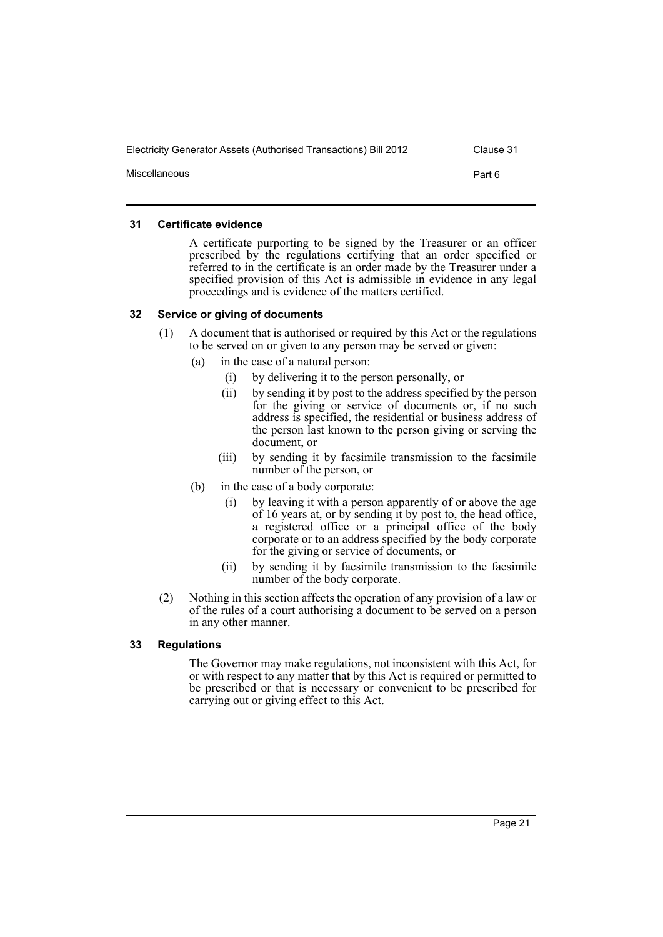| Electricity Generator Assets (Authorised Transactions) Bill 2012<br>Clause 31 |  |
|-------------------------------------------------------------------------------|--|
| Miscellaneous<br>Part 6                                                       |  |

### <span id="page-24-0"></span>**31 Certificate evidence**

A certificate purporting to be signed by the Treasurer or an officer prescribed by the regulations certifying that an order specified or referred to in the certificate is an order made by the Treasurer under a specified provision of this Act is admissible in evidence in any legal proceedings and is evidence of the matters certified.

### <span id="page-24-1"></span>**32 Service or giving of documents**

- (1) A document that is authorised or required by this Act or the regulations to be served on or given to any person may be served or given:
	- (a) in the case of a natural person:
		- (i) by delivering it to the person personally, or
		- (ii) by sending it by post to the address specified by the person for the giving or service of documents or, if no such address is specified, the residential or business address of the person last known to the person giving or serving the document, or
		- (iii) by sending it by facsimile transmission to the facsimile number of the person, or
	- (b) in the case of a body corporate:
		- (i) by leaving it with a person apparently of or above the age of 16 years at, or by sending it by post to, the head office, a registered office or a principal office of the body corporate or to an address specified by the body corporate for the giving or service of documents, or
		- (ii) by sending it by facsimile transmission to the facsimile number of the body corporate.
- (2) Nothing in this section affects the operation of any provision of a law or of the rules of a court authorising a document to be served on a person in any other manner.

# <span id="page-24-2"></span>**33 Regulations**

The Governor may make regulations, not inconsistent with this Act, for or with respect to any matter that by this Act is required or permitted to be prescribed or that is necessary or convenient to be prescribed for carrying out or giving effect to this Act.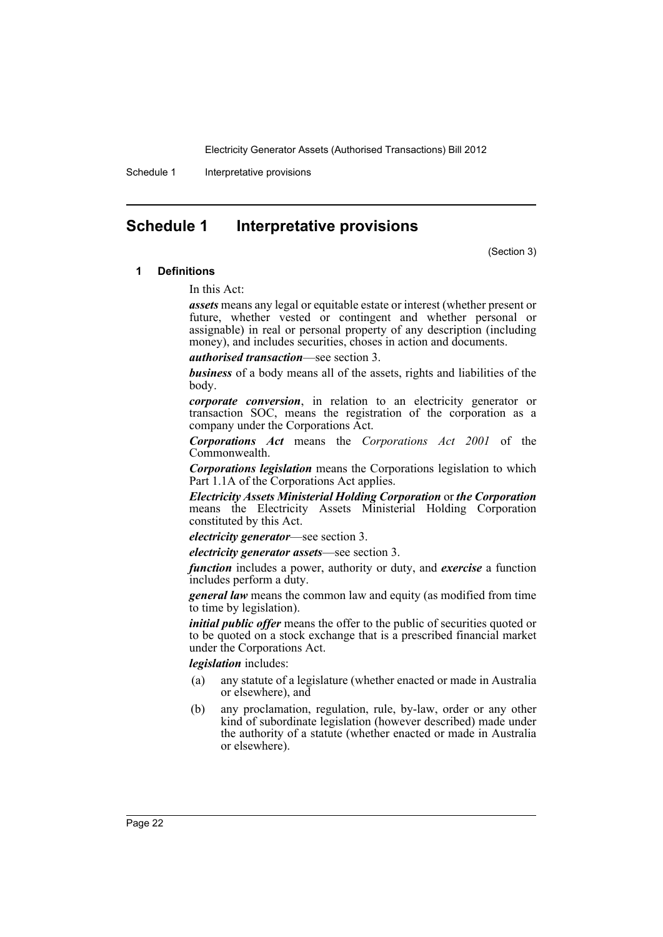Schedule 1 Interpretative provisions

# <span id="page-25-0"></span>**Schedule 1 Interpretative provisions**

(Section 3)

#### **1 Definitions**

In this Act:

*assets* means any legal or equitable estate or interest (whether present or future, whether vested or contingent and whether personal or assignable) in real or personal property of any description (including money), and includes securities, choses in action and documents.

*authorised transaction*—see section 3.

*business* of a body means all of the assets, rights and liabilities of the body.

*corporate conversion*, in relation to an electricity generator or transaction SOC, means the registration of the corporation as a company under the Corporations Act.

*Corporations Act* means the *Corporations Act 2001* of the Commonwealth.

*Corporations legislation* means the Corporations legislation to which Part 1.1A of the Corporations Act applies.

*Electricity Assets Ministerial Holding Corporation* or *the Corporation* means the Electricity Assets Ministerial Holding Corporation constituted by this Act.

#### *electricity generator*—see section 3.

*electricity generator assets*—see section 3.

*function* includes a power, authority or duty, and *exercise* a function includes perform a duty.

*general law* means the common law and equity (as modified from time to time by legislation).

*initial public offer* means the offer to the public of securities quoted or to be quoted on a stock exchange that is a prescribed financial market under the Corporations Act.

*legislation* includes:

- (a) any statute of a legislature (whether enacted or made in Australia or elsewhere), and
- (b) any proclamation, regulation, rule, by-law, order or any other kind of subordinate legislation (however described) made under the authority of a statute (whether enacted or made in Australia or elsewhere).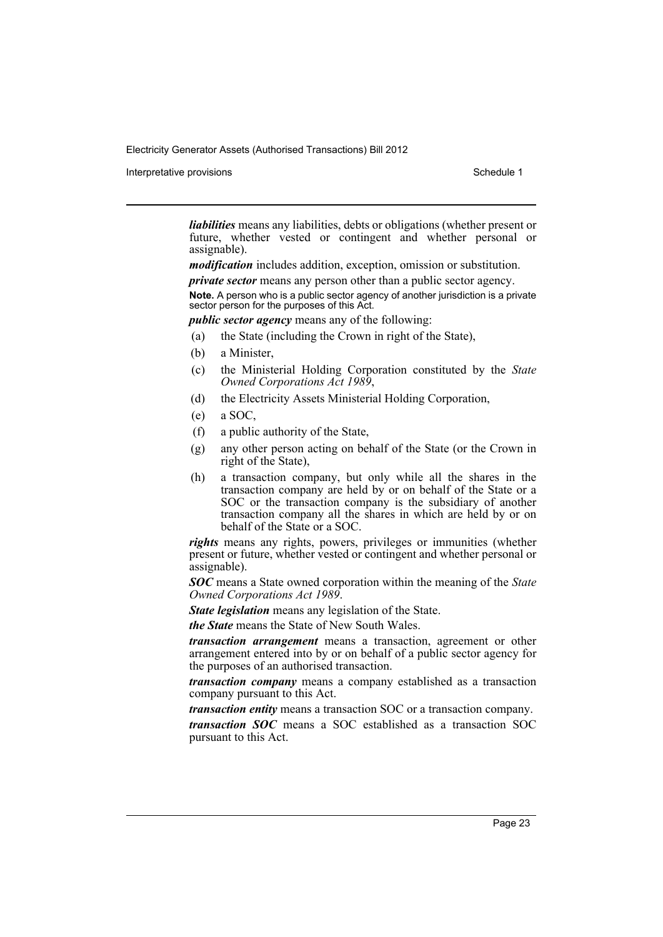Interpretative provisions **Schedule 1** and the set of the set of the set of the set of the set of the set of the set of the set of the set of the set of the set of the set of the set of the set of the set of the set of the

*liabilities* means any liabilities, debts or obligations (whether present or future, whether vested or contingent and whether personal or assignable).

*modification* includes addition, exception, omission or substitution.

*private sector* means any person other than a public sector agency.

**Note.** A person who is a public sector agency of another jurisdiction is a private sector person for the purposes of this Act.

*public sector agency* means any of the following:

- (a) the State (including the Crown in right of the State),
- (b) a Minister,
- (c) the Ministerial Holding Corporation constituted by the *State Owned Corporations Act 1989*,
- (d) the Electricity Assets Ministerial Holding Corporation,
- (e) a SOC,
- (f) a public authority of the State,
- (g) any other person acting on behalf of the State (or the Crown in right of the State),
- (h) a transaction company, but only while all the shares in the transaction company are held by or on behalf of the State or a SOC or the transaction company is the subsidiary of another transaction company all the shares in which are held by or on behalf of the State or a SOC.

*rights* means any rights, powers, privileges or immunities (whether present or future, whether vested or contingent and whether personal or assignable).

*SOC* means a State owned corporation within the meaning of the *State Owned Corporations Act 1989*.

*State legislation* means any legislation of the State.

*the State* means the State of New South Wales.

*transaction arrangement* means a transaction, agreement or other arrangement entered into by or on behalf of a public sector agency for the purposes of an authorised transaction.

*transaction company* means a company established as a transaction company pursuant to this Act.

*transaction entity* means a transaction SOC or a transaction company. *transaction SOC* means a SOC established as a transaction SOC pursuant to this Act.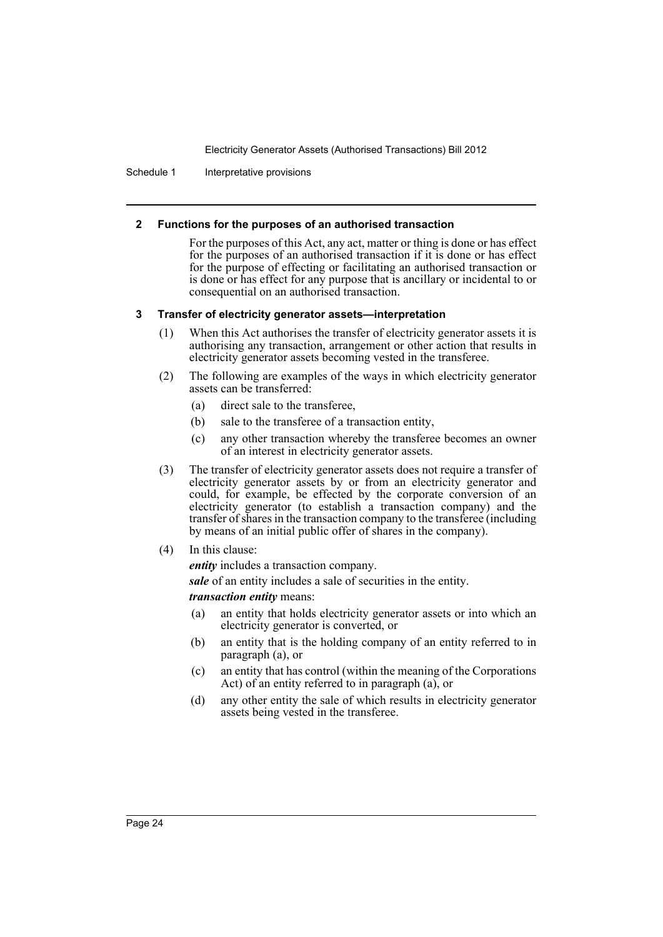Schedule 1 Interpretative provisions

#### **2 Functions for the purposes of an authorised transaction**

For the purposes of this Act, any act, matter or thing is done or has effect for the purposes of an authorised transaction if it is done or has effect for the purpose of effecting or facilitating an authorised transaction or is done or has effect for any purpose that is ancillary or incidental to or consequential on an authorised transaction.

### **3 Transfer of electricity generator assets—interpretation**

- (1) When this Act authorises the transfer of electricity generator assets it is authorising any transaction, arrangement or other action that results in electricity generator assets becoming vested in the transferee.
- (2) The following are examples of the ways in which electricity generator assets can be transferred:
	- (a) direct sale to the transferee,
	- (b) sale to the transferee of a transaction entity,
	- (c) any other transaction whereby the transferee becomes an owner of an interest in electricity generator assets.
- (3) The transfer of electricity generator assets does not require a transfer of electricity generator assets by or from an electricity generator and could, for example, be effected by the corporate conversion of an electricity generator (to establish a transaction company) and the transfer of shares in the transaction company to the transferee (including by means of an initial public offer of shares in the company).
- (4) In this clause:
	- *entity* includes a transaction company.

*sale* of an entity includes a sale of securities in the entity.

# *transaction entity* means:

- (a) an entity that holds electricity generator assets or into which an electricity generator is converted, or
- (b) an entity that is the holding company of an entity referred to in paragraph (a), or
- (c) an entity that has control (within the meaning of the Corporations Act) of an entity referred to in paragraph (a), or
- (d) any other entity the sale of which results in electricity generator assets being vested in the transferee.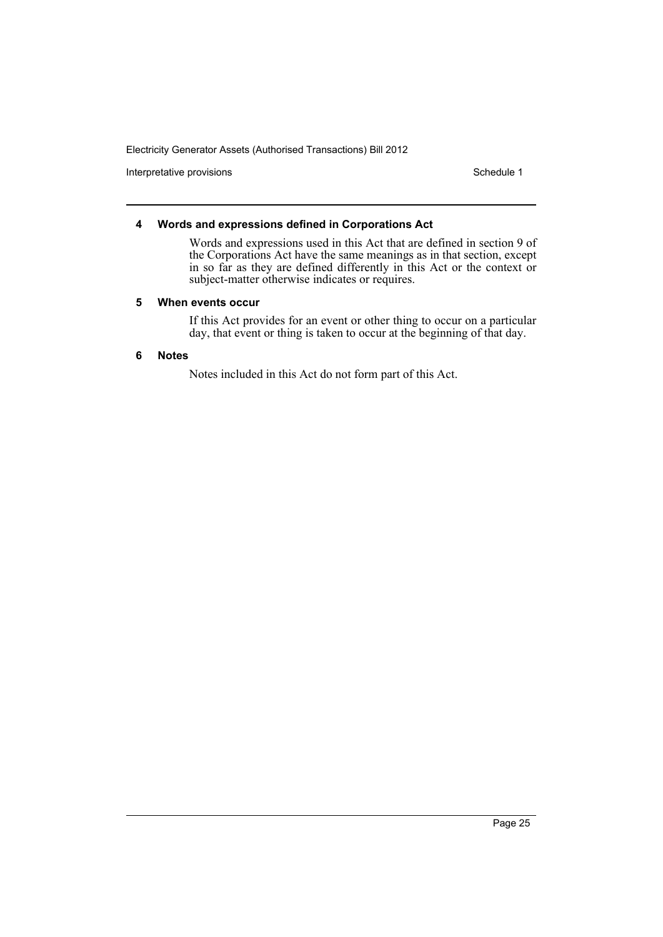Interpretative provisions and the state of the state of the Schedule 1 Schedule 1

### **4 Words and expressions defined in Corporations Act**

Words and expressions used in this Act that are defined in section 9 of the Corporations Act have the same meanings as in that section, except in so far as they are defined differently in this Act or the context or subject-matter otherwise indicates or requires.

#### **5 When events occur**

If this Act provides for an event or other thing to occur on a particular day, that event or thing is taken to occur at the beginning of that day.

### **6 Notes**

Notes included in this Act do not form part of this Act.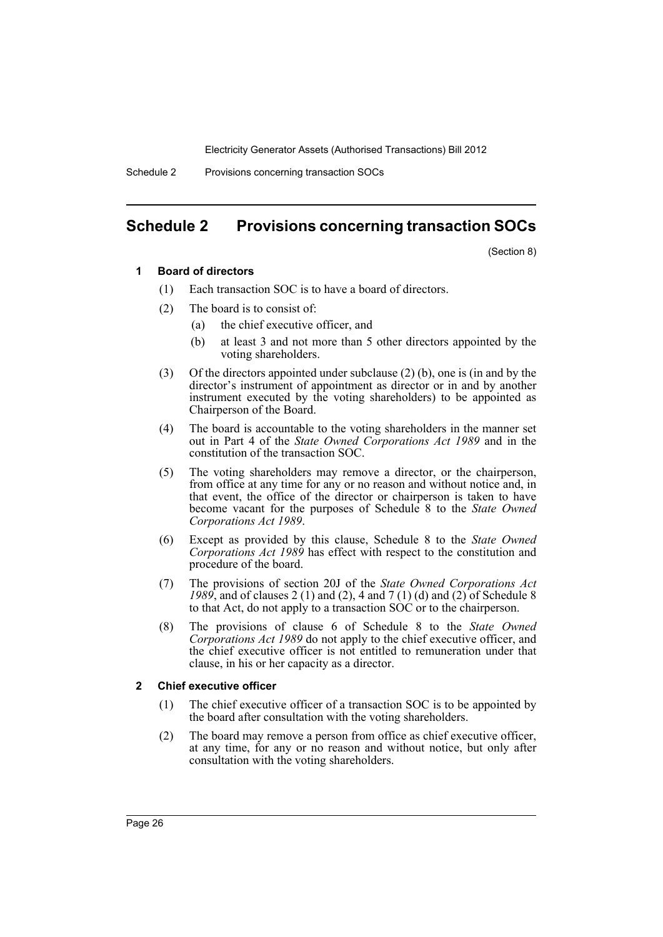Schedule 2 Provisions concerning transaction SOCs

# <span id="page-29-0"></span>**Schedule 2 Provisions concerning transaction SOCs**

(Section 8)

#### **1 Board of directors**

- (1) Each transaction SOC is to have a board of directors.
- (2) The board is to consist of:
	- (a) the chief executive officer, and
	- (b) at least 3 and not more than 5 other directors appointed by the voting shareholders.
- (3) Of the directors appointed under subclause (2) (b), one is (in and by the director's instrument of appointment as director or in and by another instrument executed by the voting shareholders) to be appointed as Chairperson of the Board.
- (4) The board is accountable to the voting shareholders in the manner set out in Part 4 of the *State Owned Corporations Act 1989* and in the constitution of the transaction SOC.
- (5) The voting shareholders may remove a director, or the chairperson, from office at any time for any or no reason and without notice and, in that event, the office of the director or chairperson is taken to have become vacant for the purposes of Schedule 8 to the *State Owned Corporations Act 1989*.
- (6) Except as provided by this clause, Schedule 8 to the *State Owned Corporations Act 1989* has effect with respect to the constitution and procedure of the board.
- (7) The provisions of section 20J of the *State Owned Corporations Act 1989*, and of clauses 2 (1) and (2), 4 and 7 (1) (d) and (2) of Schedule 8 to that Act, do not apply to a transaction SOC or to the chairperson.
- (8) The provisions of clause 6 of Schedule 8 to the *State Owned Corporations Act 1989* do not apply to the chief executive officer, and the chief executive officer is not entitled to remuneration under that clause, in his or her capacity as a director.

### **2 Chief executive officer**

- (1) The chief executive officer of a transaction SOC is to be appointed by the board after consultation with the voting shareholders.
- (2) The board may remove a person from office as chief executive officer, at any time, for any or no reason and without notice, but only after consultation with the voting shareholders.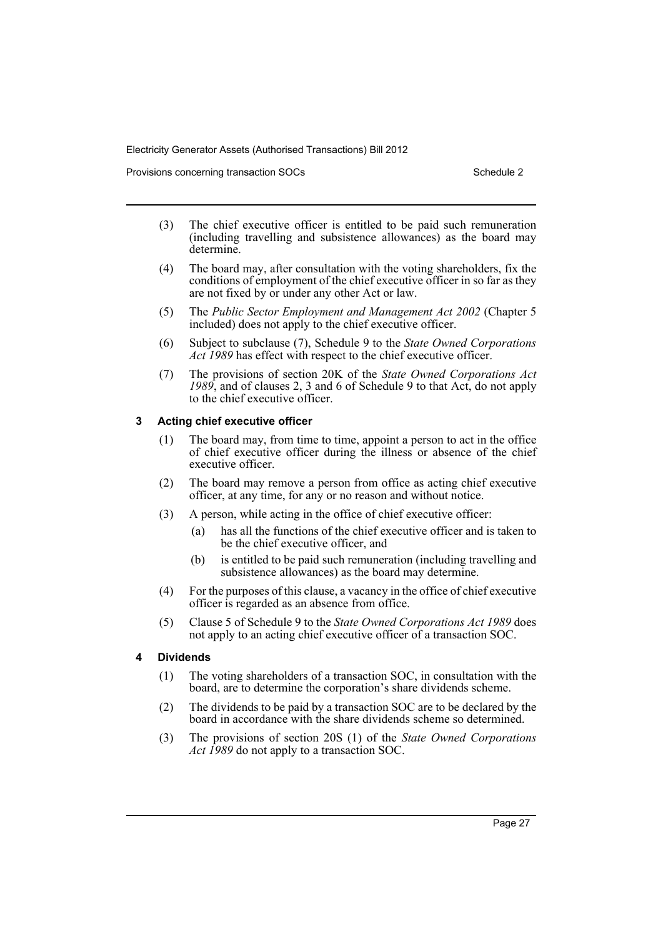Provisions concerning transaction SOCs **SCHEDULE 2** Schedule 2

- (3) The chief executive officer is entitled to be paid such remuneration (including travelling and subsistence allowances) as the board may determine.
- (4) The board may, after consultation with the voting shareholders, fix the conditions of employment of the chief executive officer in so far as they are not fixed by or under any other Act or law.
- (5) The *Public Sector Employment and Management Act 2002* (Chapter 5 included) does not apply to the chief executive officer.
- (6) Subject to subclause (7), Schedule 9 to the *State Owned Corporations Act 1989* has effect with respect to the chief executive officer.
- (7) The provisions of section 20K of the *State Owned Corporations Act 1989*, and of clauses 2, 3 and 6 of Schedule 9 to that Act, do not apply to the chief executive officer.

### **3 Acting chief executive officer**

- (1) The board may, from time to time, appoint a person to act in the office of chief executive officer during the illness or absence of the chief executive officer.
- (2) The board may remove a person from office as acting chief executive officer, at any time, for any or no reason and without notice.
- (3) A person, while acting in the office of chief executive officer:
	- (a) has all the functions of the chief executive officer and is taken to be the chief executive officer, and
	- (b) is entitled to be paid such remuneration (including travelling and subsistence allowances) as the board may determine.
- (4) For the purposes of this clause, a vacancy in the office of chief executive officer is regarded as an absence from office.
- (5) Clause 5 of Schedule 9 to the *State Owned Corporations Act 1989* does not apply to an acting chief executive officer of a transaction SOC.

# **4 Dividends**

- (1) The voting shareholders of a transaction SOC, in consultation with the board, are to determine the corporation's share dividends scheme.
- (2) The dividends to be paid by a transaction SOC are to be declared by the board in accordance with the share dividends scheme so determined.
- (3) The provisions of section 20S (1) of the *State Owned Corporations Act 1989* do not apply to a transaction SOC.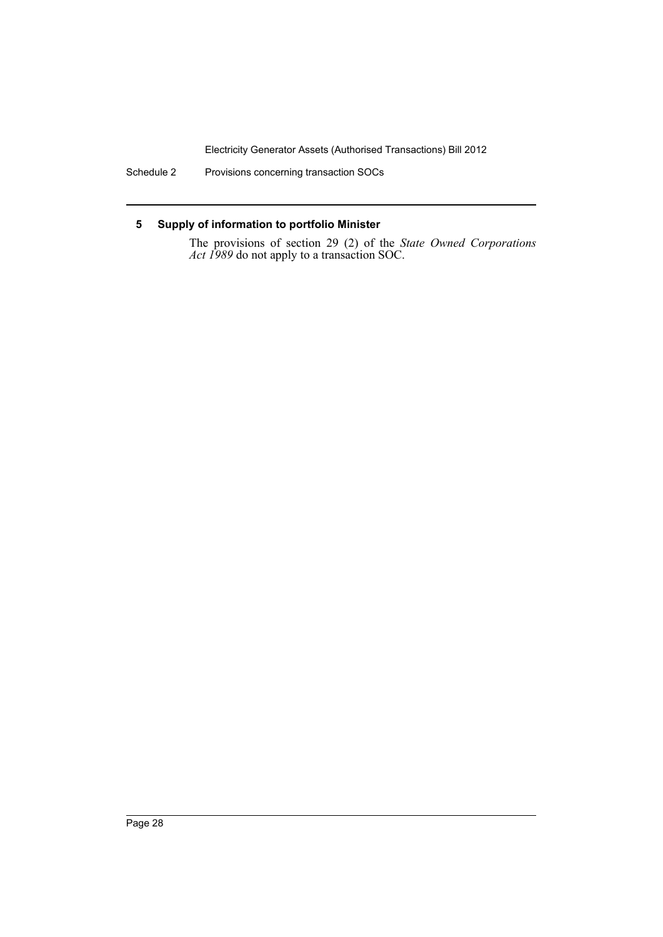Schedule 2 Provisions concerning transaction SOCs

# **5 Supply of information to portfolio Minister**

The provisions of section 29 (2) of the *State Owned Corporations Act 1989* do not apply to a transaction SOC.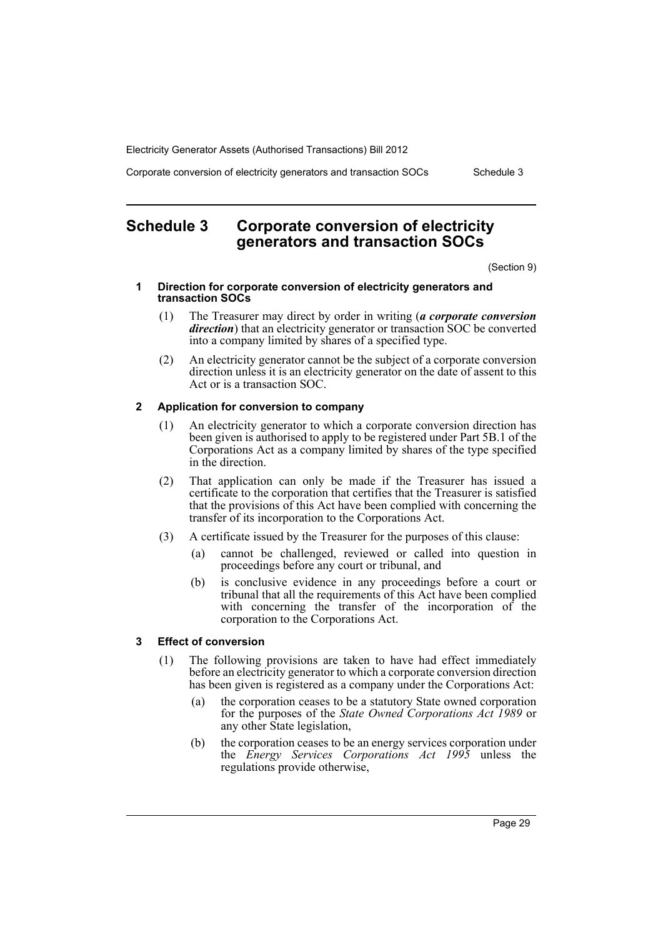Corporate conversion of electricity generators and transaction SOCs Schedule 3

# <span id="page-32-0"></span>**Schedule 3 Corporate conversion of electricity generators and transaction SOCs**

(Section 9)

#### **1 Direction for corporate conversion of electricity generators and transaction SOCs**

- (1) The Treasurer may direct by order in writing (*a corporate conversion direction*) that an electricity generator or transaction SOC be converted into a company limited by shares of a specified type.
- (2) An electricity generator cannot be the subject of a corporate conversion direction unless it is an electricity generator on the date of assent to this Act or is a transaction SOC.

### **2 Application for conversion to company**

- (1) An electricity generator to which a corporate conversion direction has been given is authorised to apply to be registered under Part 5B.1 of the Corporations Act as a company limited by shares of the type specified in the direction.
- (2) That application can only be made if the Treasurer has issued a certificate to the corporation that certifies that the Treasurer is satisfied that the provisions of this Act have been complied with concerning the transfer of its incorporation to the Corporations Act.
- (3) A certificate issued by the Treasurer for the purposes of this clause:
	- (a) cannot be challenged, reviewed or called into question in proceedings before any court or tribunal, and
	- (b) is conclusive evidence in any proceedings before a court or tribunal that all the requirements of this Act have been complied with concerning the transfer of the incorporation of the corporation to the Corporations Act.

# **3 Effect of conversion**

- (1) The following provisions are taken to have had effect immediately before an electricity generator to which a corporate conversion direction has been given is registered as a company under the Corporations Act:
	- (a) the corporation ceases to be a statutory State owned corporation for the purposes of the *State Owned Corporations Act 1989* or any other State legislation,
	- (b) the corporation ceases to be an energy services corporation under the *Energy Services Corporations Act 1995* unless the regulations provide otherwise,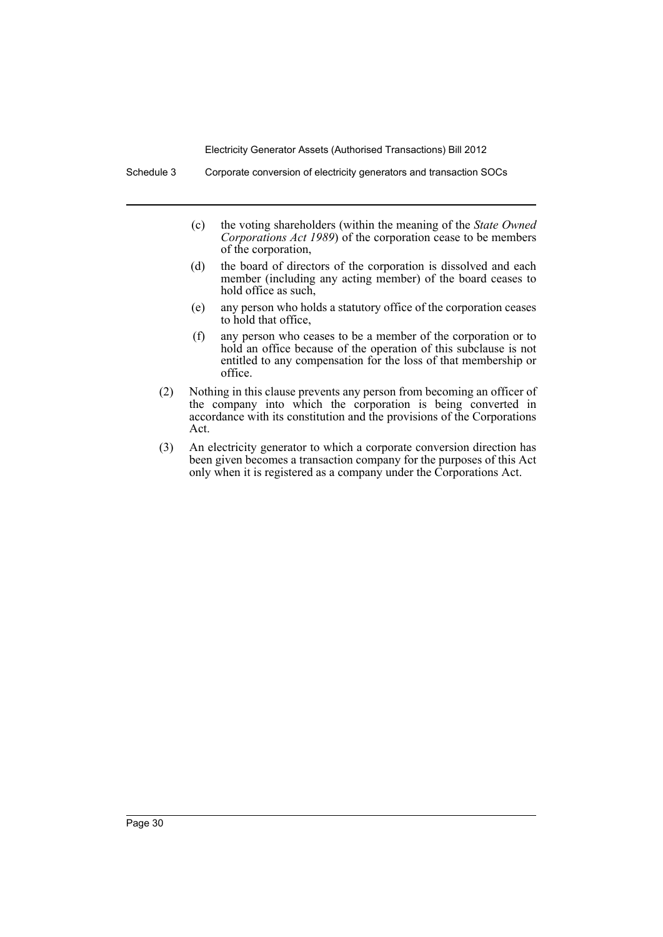- (c) the voting shareholders (within the meaning of the *State Owned Corporations Act 1989*) of the corporation cease to be members of the corporation,
- (d) the board of directors of the corporation is dissolved and each member (including any acting member) of the board ceases to hold office as such,
- (e) any person who holds a statutory office of the corporation ceases to hold that office,
- (f) any person who ceases to be a member of the corporation or to hold an office because of the operation of this subclause is not entitled to any compensation for the loss of that membership or office.
- (2) Nothing in this clause prevents any person from becoming an officer of the company into which the corporation is being converted in accordance with its constitution and the provisions of the Corporations Act.
- (3) An electricity generator to which a corporate conversion direction has been given becomes a transaction company for the purposes of this Act only when it is registered as a company under the Corporations Act.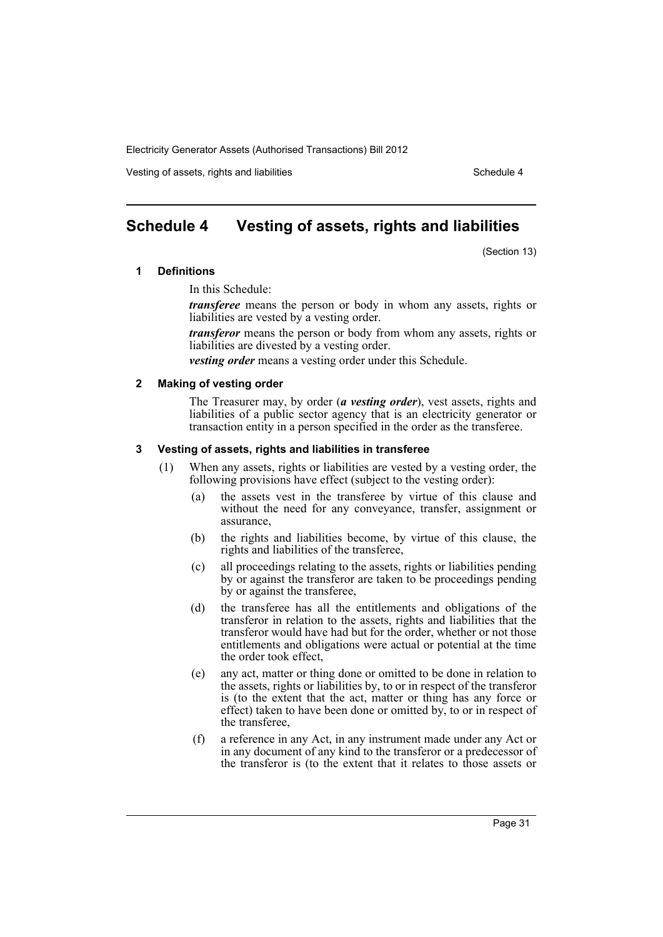Vesting of assets, rights and liabilities Schedule 4 and Schedule 4

# <span id="page-34-0"></span>**Schedule 4 Vesting of assets, rights and liabilities**

(Section 13)

#### **1 Definitions**

In this Schedule:

*transferee* means the person or body in whom any assets, rights or liabilities are vested by a vesting order.

*transferor* means the person or body from whom any assets, rights or liabilities are divested by a vesting order.

*vesting order* means a vesting order under this Schedule.

#### **2 Making of vesting order**

The Treasurer may, by order (*a vesting order*), vest assets, rights and liabilities of a public sector agency that is an electricity generator or transaction entity in a person specified in the order as the transferee.

#### **3 Vesting of assets, rights and liabilities in transferee**

- (1) When any assets, rights or liabilities are vested by a vesting order, the following provisions have effect (subject to the vesting order):
	- (a) the assets vest in the transferee by virtue of this clause and without the need for any conveyance, transfer, assignment or assurance,
	- (b) the rights and liabilities become, by virtue of this clause, the rights and liabilities of the transferee,
	- (c) all proceedings relating to the assets, rights or liabilities pending by or against the transferor are taken to be proceedings pending by or against the transferee,
	- (d) the transferee has all the entitlements and obligations of the transferor in relation to the assets, rights and liabilities that the transferor would have had but for the order, whether or not those entitlements and obligations were actual or potential at the time the order took effect,
	- (e) any act, matter or thing done or omitted to be done in relation to the assets, rights or liabilities by, to or in respect of the transferor is (to the extent that the act, matter or thing has any force or effect) taken to have been done or omitted by, to or in respect of the transferee,
	- (f) a reference in any Act, in any instrument made under any Act or in any document of any kind to the transferor or a predecessor of the transferor is (to the extent that it relates to those assets or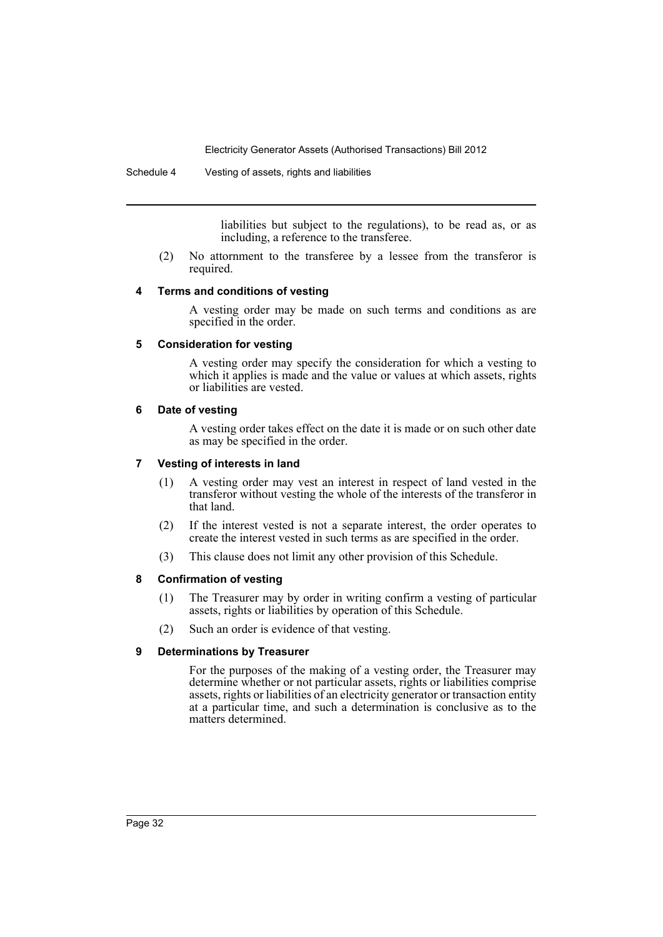Schedule 4 Vesting of assets, rights and liabilities

liabilities but subject to the regulations), to be read as, or as including, a reference to the transferee.

(2) No attornment to the transferee by a lessee from the transferor is required.

### **4 Terms and conditions of vesting**

A vesting order may be made on such terms and conditions as are specified in the order.

### **5 Consideration for vesting**

A vesting order may specify the consideration for which a vesting to which it applies is made and the value or values at which assets, rights or liabilities are vested.

### **6 Date of vesting**

A vesting order takes effect on the date it is made or on such other date as may be specified in the order.

# **7 Vesting of interests in land**

- (1) A vesting order may vest an interest in respect of land vested in the transferor without vesting the whole of the interests of the transferor in that land.
- (2) If the interest vested is not a separate interest, the order operates to create the interest vested in such terms as are specified in the order.
- (3) This clause does not limit any other provision of this Schedule.

# **8 Confirmation of vesting**

- (1) The Treasurer may by order in writing confirm a vesting of particular assets, rights or liabilities by operation of this Schedule.
- (2) Such an order is evidence of that vesting.

# **9 Determinations by Treasurer**

For the purposes of the making of a vesting order, the Treasurer may determine whether or not particular assets, rights or liabilities comprise assets, rights or liabilities of an electricity generator or transaction entity at a particular time, and such a determination is conclusive as to the matters determined.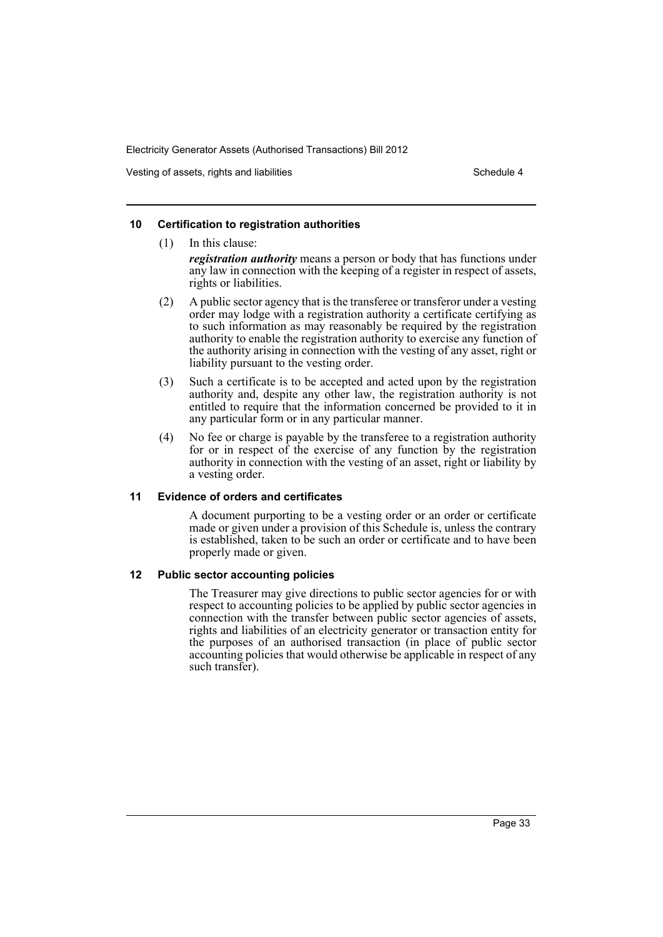Vesting of assets, rights and liabilities Schedule 4 and Schedule 4

### **10 Certification to registration authorities**

(1) In this clause: *registration authority* means a person or body that has functions under any law in connection with the keeping of a register in respect of assets, rights or liabilities.

- (2) A public sector agency that is the transferee or transferor under a vesting order may lodge with a registration authority a certificate certifying as to such information as may reasonably be required by the registration authority to enable the registration authority to exercise any function of the authority arising in connection with the vesting of any asset, right or liability pursuant to the vesting order.
- (3) Such a certificate is to be accepted and acted upon by the registration authority and, despite any other law, the registration authority is not entitled to require that the information concerned be provided to it in any particular form or in any particular manner.
- (4) No fee or charge is payable by the transferee to a registration authority for or in respect of the exercise of any function by the registration authority in connection with the vesting of an asset, right or liability by a vesting order.

#### **11 Evidence of orders and certificates**

A document purporting to be a vesting order or an order or certificate made or given under a provision of this Schedule is, unless the contrary is established, taken to be such an order or certificate and to have been properly made or given.

#### **12 Public sector accounting policies**

The Treasurer may give directions to public sector agencies for or with respect to accounting policies to be applied by public sector agencies in connection with the transfer between public sector agencies of assets, rights and liabilities of an electricity generator or transaction entity for the purposes of an authorised transaction (in place of public sector accounting policies that would otherwise be applicable in respect of any such transfer).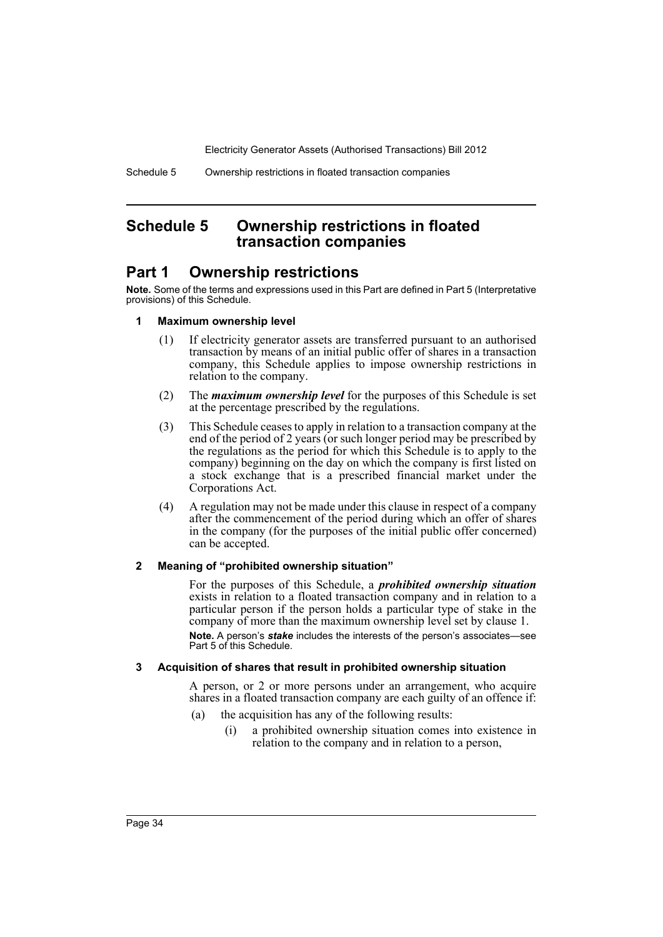# <span id="page-37-0"></span>**Schedule 5 Ownership restrictions in floated transaction companies**

# **Part 1 Ownership restrictions**

**Note.** Some of the terms and expressions used in this Part are defined in Part 5 (Interpretative provisions) of this Schedule.

#### **1 Maximum ownership level**

- (1) If electricity generator assets are transferred pursuant to an authorised transaction by means of an initial public offer of shares in a transaction company, this Schedule applies to impose ownership restrictions in relation to the company.
- (2) The *maximum ownership level* for the purposes of this Schedule is set at the percentage prescribed by the regulations.
- (3) This Schedule ceases to apply in relation to a transaction company at the end of the period of 2 years (or such longer period may be prescribed by the regulations as the period for which this Schedule is to apply to the company) beginning on the day on which the company is first listed on a stock exchange that is a prescribed financial market under the Corporations Act.
- (4) A regulation may not be made under this clause in respect of a company after the commencement of the period during which an offer of shares in the company (for the purposes of the initial public offer concerned) can be accepted.

#### **2 Meaning of "prohibited ownership situation"**

For the purposes of this Schedule, a *prohibited ownership situation* exists in relation to a floated transaction company and in relation to a particular person if the person holds a particular type of stake in the company of more than the maximum ownership level set by clause 1. **Note.** A person's *stake* includes the interests of the person's associates—see Part 5 of this Schedule.

#### **3 Acquisition of shares that result in prohibited ownership situation**

A person, or 2 or more persons under an arrangement, who acquire shares in a floated transaction company are each guilty of an offence if:

- (a) the acquisition has any of the following results:
	- (i) a prohibited ownership situation comes into existence in relation to the company and in relation to a person,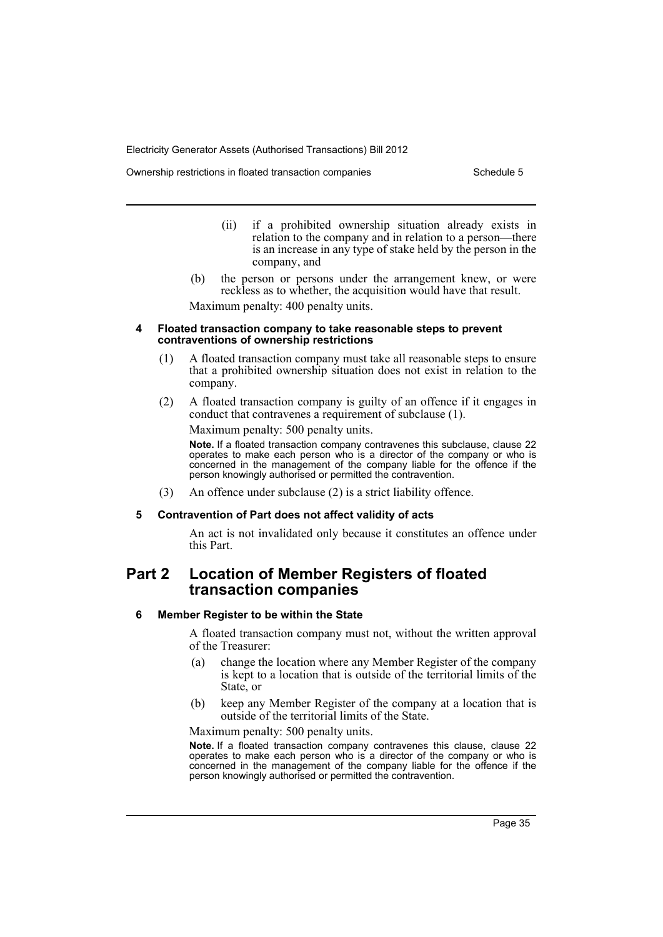Ownership restrictions in floated transaction companies Schedule 5

- (ii) if a prohibited ownership situation already exists in relation to the company and in relation to a person—there is an increase in any type of stake held by the person in the company, and
- (b) the person or persons under the arrangement knew, or were reckless as to whether, the acquisition would have that result.

Maximum penalty: 400 penalty units.

#### **4 Floated transaction company to take reasonable steps to prevent contraventions of ownership restrictions**

- (1) A floated transaction company must take all reasonable steps to ensure that a prohibited ownership situation does not exist in relation to the company.
- (2) A floated transaction company is guilty of an offence if it engages in conduct that contravenes a requirement of subclause (1).

Maximum penalty: 500 penalty units.

**Note.** If a floated transaction company contravenes this subclause, clause 22 operates to make each person who is a director of the company or who is concerned in the management of the company liable for the offence if the person knowingly authorised or permitted the contravention.

(3) An offence under subclause (2) is a strict liability offence.

#### **5 Contravention of Part does not affect validity of acts**

An act is not invalidated only because it constitutes an offence under this Part.

# **Part 2 Location of Member Registers of floated transaction companies**

#### **6 Member Register to be within the State**

A floated transaction company must not, without the written approval of the Treasurer:

- (a) change the location where any Member Register of the company is kept to a location that is outside of the territorial limits of the State, or
- (b) keep any Member Register of the company at a location that is outside of the territorial limits of the State.

Maximum penalty: 500 penalty units.

**Note.** If a floated transaction company contravenes this clause, clause 22 operates to make each person who is a director of the company or who is concerned in the management of the company liable for the offence if the person knowingly authorised or permitted the contravention.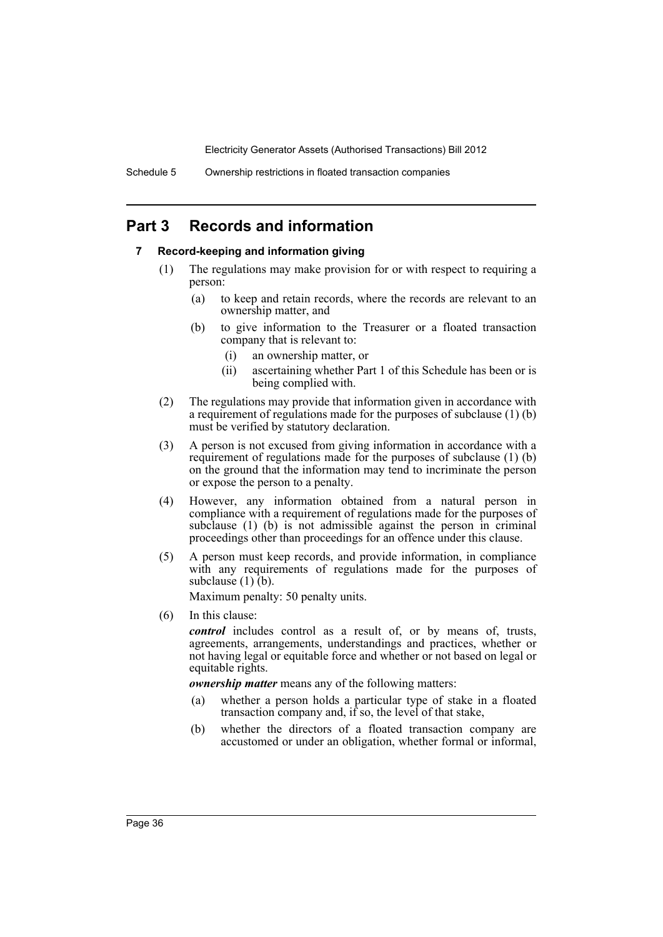# **Part 3 Records and information**

# **7 Record-keeping and information giving**

- (1) The regulations may make provision for or with respect to requiring a person:
	- (a) to keep and retain records, where the records are relevant to an ownership matter, and
	- (b) to give information to the Treasurer or a floated transaction company that is relevant to:
		- (i) an ownership matter, or
		- (ii) ascertaining whether Part 1 of this Schedule has been or is being complied with.
- (2) The regulations may provide that information given in accordance with a requirement of regulations made for the purposes of subclause (1) (b) must be verified by statutory declaration.
- (3) A person is not excused from giving information in accordance with a requirement of regulations made for the purposes of subclause (1) (b) on the ground that the information may tend to incriminate the person or expose the person to a penalty.
- (4) However, any information obtained from a natural person in compliance with a requirement of regulations made for the purposes of subclause  $(1)$   $(b)$  is not admissible against the person in criminal proceedings other than proceedings for an offence under this clause.
- (5) A person must keep records, and provide information, in compliance with any requirements of regulations made for the purposes of subclause  $(1)$  $(b)$ .

Maximum penalty: 50 penalty units.

(6) In this clause:

*control* includes control as a result of, or by means of, trusts, agreements, arrangements, understandings and practices, whether or not having legal or equitable force and whether or not based on legal or equitable rights.

*ownership matter* means any of the following matters:

- (a) whether a person holds a particular type of stake in a floated transaction company and, if so, the level of that stake,
- (b) whether the directors of a floated transaction company are accustomed or under an obligation, whether formal or informal,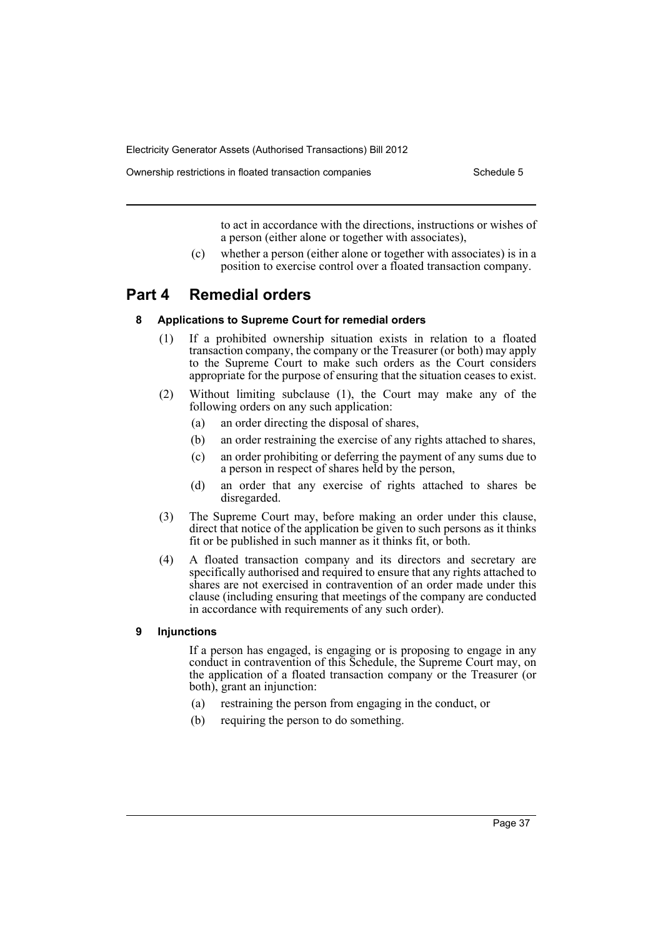Ownership restrictions in floated transaction companies Schedule 5

to act in accordance with the directions, instructions or wishes of a person (either alone or together with associates),

(c) whether a person (either alone or together with associates) is in a position to exercise control over a floated transaction company.

# **Part 4 Remedial orders**

### **8 Applications to Supreme Court for remedial orders**

- (1) If a prohibited ownership situation exists in relation to a floated transaction company, the company or the Treasurer (or both) may apply to the Supreme Court to make such orders as the Court considers appropriate for the purpose of ensuring that the situation ceases to exist.
- (2) Without limiting subclause (1), the Court may make any of the following orders on any such application:
	- (a) an order directing the disposal of shares,
	- (b) an order restraining the exercise of any rights attached to shares,
	- (c) an order prohibiting or deferring the payment of any sums due to a person in respect of shares held by the person,
	- (d) an order that any exercise of rights attached to shares be disregarded.
- (3) The Supreme Court may, before making an order under this clause, direct that notice of the application be given to such persons as it thinks fit or be published in such manner as it thinks fit, or both.
- (4) A floated transaction company and its directors and secretary are specifically authorised and required to ensure that any rights attached to shares are not exercised in contravention of an order made under this clause (including ensuring that meetings of the company are conducted in accordance with requirements of any such order).

# **9 Injunctions**

If a person has engaged, is engaging or is proposing to engage in any conduct in contravention of this Schedule, the Supreme Court may, on the application of a floated transaction company or the Treasurer (or both), grant an injunction:

- (a) restraining the person from engaging in the conduct, or
- (b) requiring the person to do something.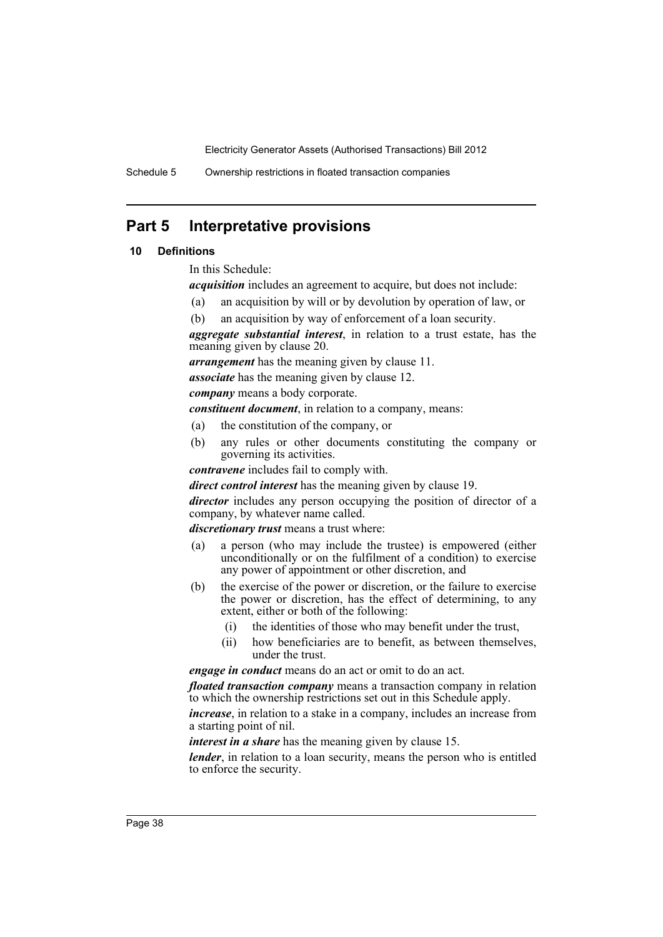Schedule 5 Ownership restrictions in floated transaction companies

# **Part 5 Interpretative provisions**

# **10 Definitions**

In this Schedule:

*acquisition* includes an agreement to acquire, but does not include:

- (a) an acquisition by will or by devolution by operation of law, or
- (b) an acquisition by way of enforcement of a loan security.

*aggregate substantial interest*, in relation to a trust estate, has the meaning given by clause 20.

*arrangement* has the meaning given by clause 11.

*associate* has the meaning given by clause 12.

*company* means a body corporate.

*constituent document*, in relation to a company, means:

- (a) the constitution of the company, or
- (b) any rules or other documents constituting the company or governing its activities.

*contravene* includes fail to comply with.

*direct control interest* has the meaning given by clause 19.

*director* includes any person occupying the position of director of a company, by whatever name called.

*discretionary trust* means a trust where:

- (a) a person (who may include the trustee) is empowered (either unconditionally or on the fulfilment of a condition) to exercise any power of appointment or other discretion, and
- (b) the exercise of the power or discretion, or the failure to exercise the power or discretion, has the effect of determining, to any extent, either or both of the following:
	- (i) the identities of those who may benefit under the trust,
	- (ii) how beneficiaries are to benefit, as between themselves, under the trust.

*engage in conduct* means do an act or omit to do an act.

*floated transaction company* means a transaction company in relation to which the ownership restrictions set out in this Schedule apply.

*increase*, in relation to a stake in a company, includes an increase from a starting point of nil.

*interest in a share* has the meaning given by clause 15.

*lender*, in relation to a loan security, means the person who is entitled to enforce the security.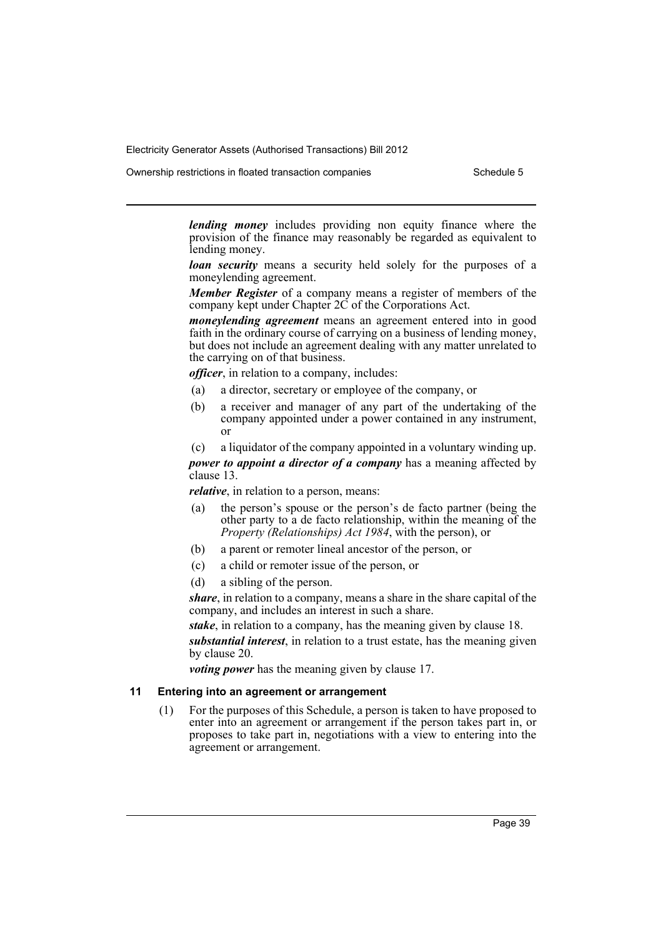Ownership restrictions in floated transaction companies Schedule 5

*lending money* includes providing non equity finance where the provision of the finance may reasonably be regarded as equivalent to lending money.

*loan security* means a security held solely for the purposes of a moneylending agreement.

*Member Register* of a company means a register of members of the company kept under Chapter 2C of the Corporations Act.

*moneylending agreement* means an agreement entered into in good faith in the ordinary course of carrying on a business of lending money, but does not include an agreement dealing with any matter unrelated to the carrying on of that business.

*officer*, in relation to a company, includes:

- (a) a director, secretary or employee of the company, or
- (b) a receiver and manager of any part of the undertaking of the company appointed under a power contained in any instrument, or
- (c) a liquidator of the company appointed in a voluntary winding up.

*power to appoint a director of a company* has a meaning affected by clause 13.

*relative*, in relation to a person, means:

- (a) the person's spouse or the person's de facto partner (being the other party to a de facto relationship, within the meaning of the *Property (Relationships) Act 1984*, with the person), or
- (b) a parent or remoter lineal ancestor of the person, or
- (c) a child or remoter issue of the person, or
- (d) a sibling of the person.

*share*, in relation to a company, means a share in the share capital of the company, and includes an interest in such a share.

*stake*, in relation to a company, has the meaning given by clause 18.

*substantial interest*, in relation to a trust estate, has the meaning given by clause 20.

*voting power* has the meaning given by clause 17.

# **11 Entering into an agreement or arrangement**

(1) For the purposes of this Schedule, a person is taken to have proposed to enter into an agreement or arrangement if the person takes part in, or proposes to take part in, negotiations with a view to entering into the agreement or arrangement.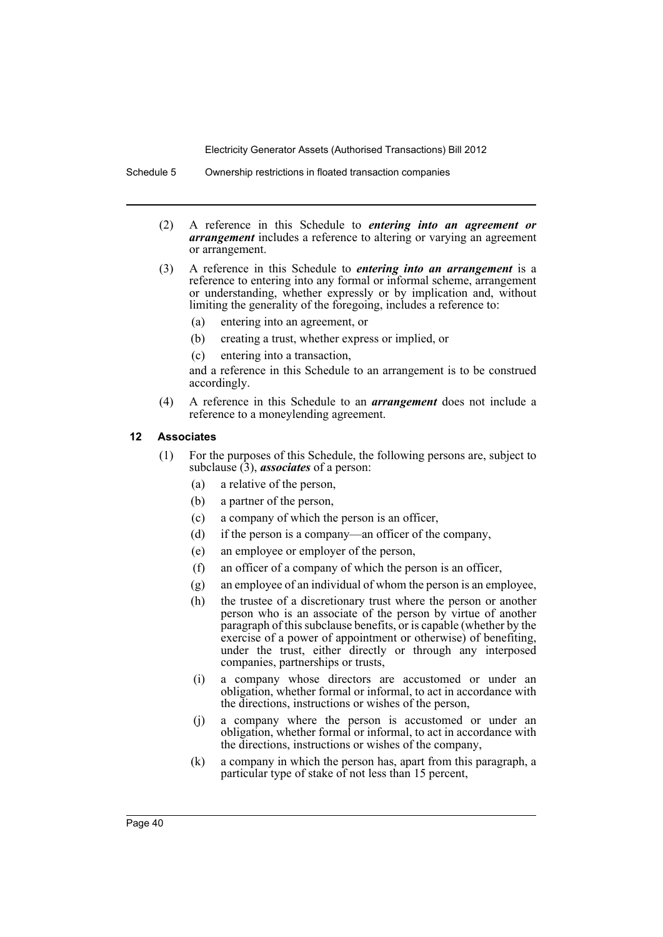Schedule 5 Ownership restrictions in floated transaction companies

- (2) A reference in this Schedule to *entering into an agreement or arrangement* includes a reference to altering or varying an agreement or arrangement.
- (3) A reference in this Schedule to *entering into an arrangement* is a reference to entering into any formal or informal scheme, arrangement or understanding, whether expressly or by implication and, without limiting the generality of the foregoing, includes a reference to:
	- (a) entering into an agreement, or
	- (b) creating a trust, whether express or implied, or
	- (c) entering into a transaction,

and a reference in this Schedule to an arrangement is to be construed accordingly.

(4) A reference in this Schedule to an *arrangement* does not include a reference to a moneylending agreement.

#### **12 Associates**

- (1) For the purposes of this Schedule, the following persons are, subject to subclause (3), *associates* of a person:
	- (a) a relative of the person,
	- (b) a partner of the person,
	- (c) a company of which the person is an officer,
	- (d) if the person is a company—an officer of the company,
	- (e) an employee or employer of the person,
	- (f) an officer of a company of which the person is an officer,
	- (g) an employee of an individual of whom the person is an employee,
	- (h) the trustee of a discretionary trust where the person or another person who is an associate of the person by virtue of another paragraph of this subclause benefits, or is capable (whether by the exercise of a power of appointment or otherwise) of benefiting, under the trust, either directly or through any interposed companies, partnerships or trusts,
	- (i) a company whose directors are accustomed or under an obligation, whether formal or informal, to act in accordance with the directions, instructions or wishes of the person,
	- (j) a company where the person is accustomed or under an obligation, whether formal or informal, to act in accordance with the directions, instructions or wishes of the company,
	- (k) a company in which the person has, apart from this paragraph, a particular type of stake of not less than 15 percent,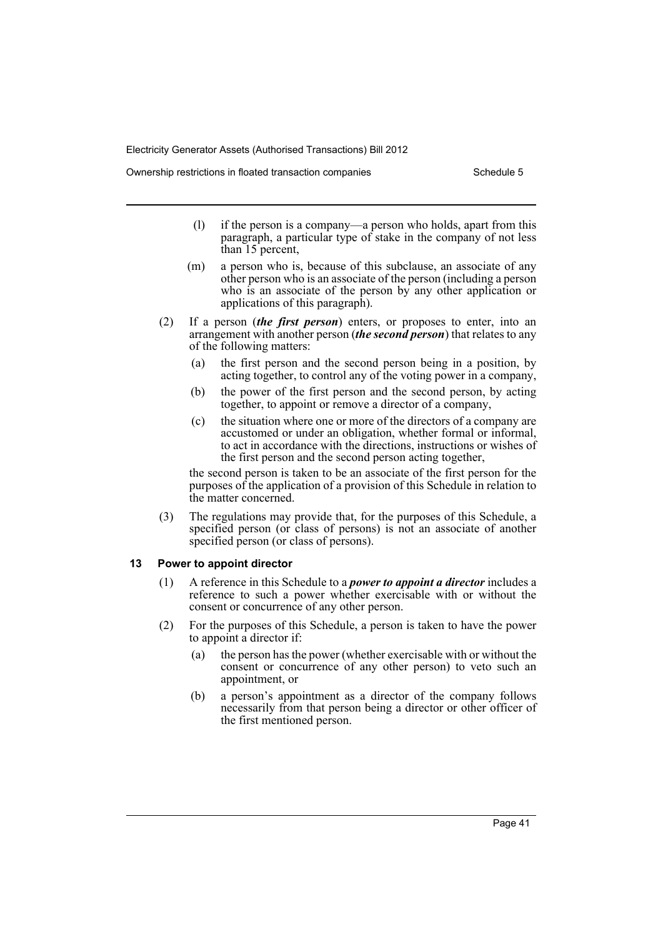Ownership restrictions in floated transaction companies Schedule 5

- (l) if the person is a company—a person who holds, apart from this paragraph, a particular type of stake in the company of not less than 15 percent,
- (m) a person who is, because of this subclause, an associate of any other person who is an associate of the person (including a person who is an associate of the person by any other application or applications of this paragraph).
- (2) If a person (*the first person*) enters, or proposes to enter, into an arrangement with another person (*the second person*) that relates to any of the following matters:
	- (a) the first person and the second person being in a position, by acting together, to control any of the voting power in a company,
	- (b) the power of the first person and the second person, by acting together, to appoint or remove a director of a company,
	- (c) the situation where one or more of the directors of a company are accustomed or under an obligation, whether formal or informal, to act in accordance with the directions, instructions or wishes of the first person and the second person acting together,

the second person is taken to be an associate of the first person for the purposes of the application of a provision of this Schedule in relation to the matter concerned.

(3) The regulations may provide that, for the purposes of this Schedule, a specified person (or class of persons) is not an associate of another specified person (or class of persons).

# **13 Power to appoint director**

- (1) A reference in this Schedule to a *power to appoint a director* includes a reference to such a power whether exercisable with or without the consent or concurrence of any other person.
- (2) For the purposes of this Schedule, a person is taken to have the power to appoint a director if:
	- (a) the person has the power (whether exercisable with or without the consent or concurrence of any other person) to veto such an appointment, or
	- (b) a person's appointment as a director of the company follows necessarily from that person being a director or other officer of the first mentioned person.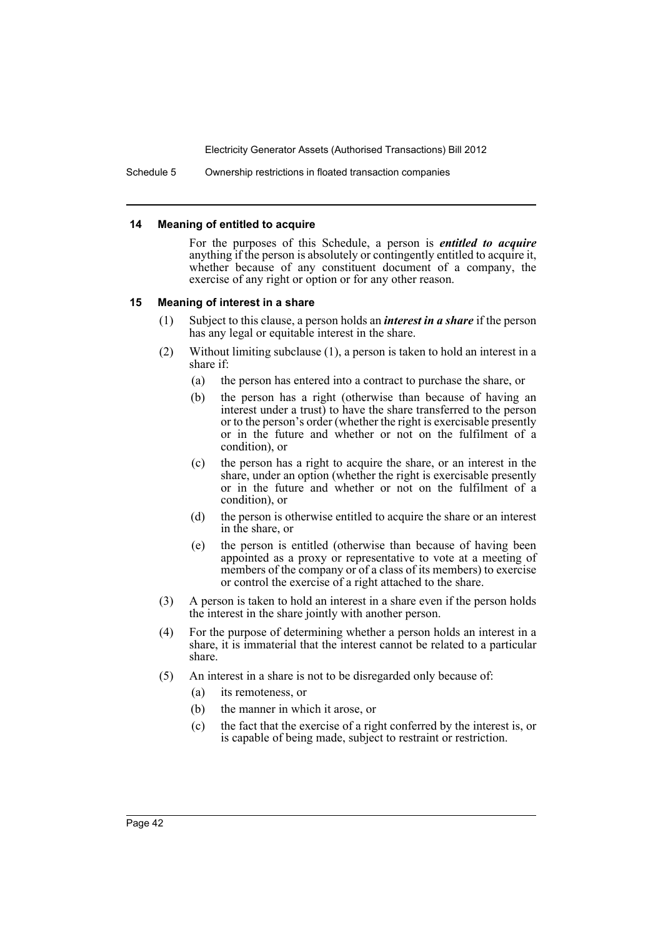Schedule 5 Ownership restrictions in floated transaction companies

#### **14 Meaning of entitled to acquire**

For the purposes of this Schedule, a person is *entitled to acquire* anything if the person is absolutely or contingently entitled to acquire it, whether because of any constituent document of a company, the exercise of any right or option or for any other reason.

#### **15 Meaning of interest in a share**

- (1) Subject to this clause, a person holds an *interest in a share* if the person has any legal or equitable interest in the share.
- (2) Without limiting subclause (1), a person is taken to hold an interest in a share if:
	- (a) the person has entered into a contract to purchase the share, or
	- (b) the person has a right (otherwise than because of having an interest under a trust) to have the share transferred to the person or to the person's order (whether the right is exercisable presently or in the future and whether or not on the fulfilment of a condition), or
	- (c) the person has a right to acquire the share, or an interest in the share, under an option (whether the right is exercisable presently or in the future and whether or not on the fulfilment of a condition), or
	- (d) the person is otherwise entitled to acquire the share or an interest in the share, or
	- (e) the person is entitled (otherwise than because of having been appointed as a proxy or representative to vote at a meeting of members of the company or of a class of its members) to exercise or control the exercise of a right attached to the share.
- (3) A person is taken to hold an interest in a share even if the person holds the interest in the share jointly with another person.
- (4) For the purpose of determining whether a person holds an interest in a share, it is immaterial that the interest cannot be related to a particular share.
- (5) An interest in a share is not to be disregarded only because of:
	- (a) its remoteness, or
	- (b) the manner in which it arose, or
	- (c) the fact that the exercise of a right conferred by the interest is, or is capable of being made, subject to restraint or restriction.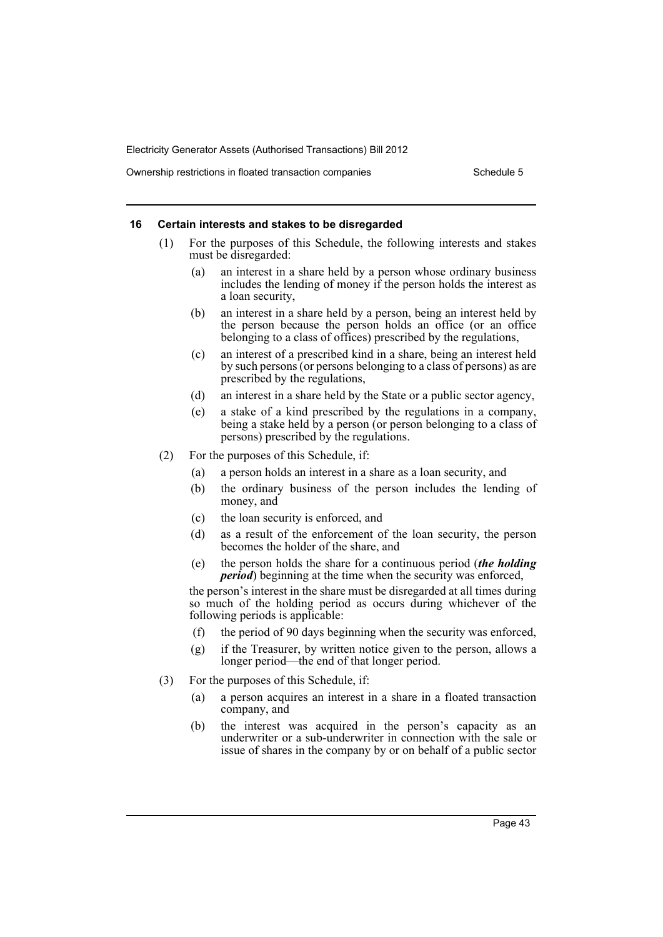Ownership restrictions in floated transaction companies Schedule 5

#### **16 Certain interests and stakes to be disregarded**

- (1) For the purposes of this Schedule, the following interests and stakes must be disregarded:
	- (a) an interest in a share held by a person whose ordinary business includes the lending of money if the person holds the interest as a loan security,
	- (b) an interest in a share held by a person, being an interest held by the person because the person holds an office (or an office belonging to a class of offices) prescribed by the regulations,
	- (c) an interest of a prescribed kind in a share, being an interest held by such persons (or persons belonging to a class of persons) as are prescribed by the regulations,
	- (d) an interest in a share held by the State or a public sector agency,
	- (e) a stake of a kind prescribed by the regulations in a company, being a stake held by a person (or person belonging to a class of persons) prescribed by the regulations.
- (2) For the purposes of this Schedule, if:
	- (a) a person holds an interest in a share as a loan security, and
	- (b) the ordinary business of the person includes the lending of money, and
	- (c) the loan security is enforced, and
	- (d) as a result of the enforcement of the loan security, the person becomes the holder of the share, and
	- (e) the person holds the share for a continuous period (*the holding period*) beginning at the time when the security was enforced,

the person's interest in the share must be disregarded at all times during so much of the holding period as occurs during whichever of the following periods is applicable:

- (f) the period of 90 days beginning when the security was enforced,
- (g) if the Treasurer, by written notice given to the person, allows a longer period—the end of that longer period.
- (3) For the purposes of this Schedule, if:
	- (a) a person acquires an interest in a share in a floated transaction company, and
	- (b) the interest was acquired in the person's capacity as an underwriter or a sub-underwriter in connection with the sale or issue of shares in the company by or on behalf of a public sector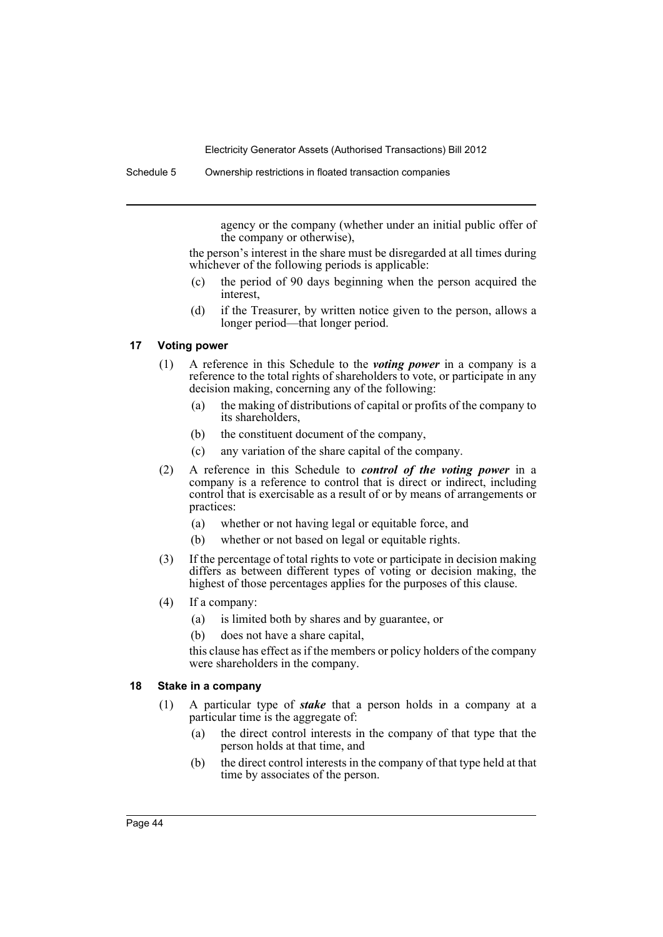agency or the company (whether under an initial public offer of the company or otherwise),

the person's interest in the share must be disregarded at all times during whichever of the following periods is applicable:

- (c) the period of 90 days beginning when the person acquired the interest,
- (d) if the Treasurer, by written notice given to the person, allows a longer period—that longer period.

### **17 Voting power**

- (1) A reference in this Schedule to the *voting power* in a company is a reference to the total rights of shareholders to vote, or participate in any decision making, concerning any of the following:
	- (a) the making of distributions of capital or profits of the company to its shareholders,
	- (b) the constituent document of the company,
	- (c) any variation of the share capital of the company.
- (2) A reference in this Schedule to *control of the voting power* in a company is a reference to control that is direct or indirect, including control that is exercisable as a result of or by means of arrangements or practices:
	- (a) whether or not having legal or equitable force, and
	- (b) whether or not based on legal or equitable rights.
- (3) If the percentage of total rights to vote or participate in decision making differs as between different types of voting or decision making, the highest of those percentages applies for the purposes of this clause.
- (4) If a company:
	- (a) is limited both by shares and by guarantee, or
	- (b) does not have a share capital,

this clause has effect as if the members or policy holders of the company were shareholders in the company.

### **18 Stake in a company**

- (1) A particular type of *stake* that a person holds in a company at a particular time is the aggregate of:
	- (a) the direct control interests in the company of that type that the person holds at that time, and
	- (b) the direct control interests in the company of that type held at that time by associates of the person.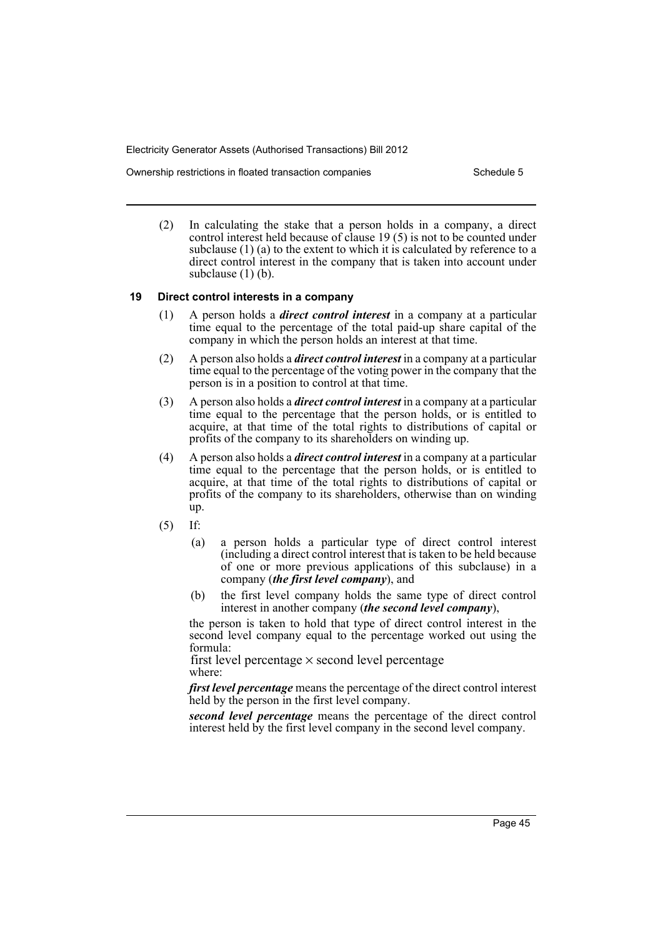Ownership restrictions in floated transaction companies Schedule 5

(2) In calculating the stake that a person holds in a company, a direct control interest held because of clause 19 (5) is not to be counted under subclause (1) (a) to the extent to which it is calculated by reference to a direct control interest in the company that is taken into account under subclause  $(1)$  (b).

#### **19 Direct control interests in a company**

- (1) A person holds a *direct control interest* in a company at a particular time equal to the percentage of the total paid-up share capital of the company in which the person holds an interest at that time.
- (2) A person also holds a *direct control interest* in a company at a particular time equal to the percentage of the voting power in the company that the person is in a position to control at that time.
- (3) A person also holds a *direct control interest* in a company at a particular time equal to the percentage that the person holds, or is entitled to acquire, at that time of the total rights to distributions of capital or profits of the company to its shareholders on winding up.
- (4) A person also holds a *direct control interest* in a company at a particular time equal to the percentage that the person holds, or is entitled to acquire, at that time of the total rights to distributions of capital or profits of the company to its shareholders, otherwise than on winding up.
- (5) If:
	- (a) a person holds a particular type of direct control interest (including a direct control interest that is taken to be held because of one or more previous applications of this subclause) in a company (*the first level company*), and
	- (b) the first level company holds the same type of direct control interest in another company (*the second level company*),

the person is taken to hold that type of direct control interest in the second level company equal to the percentage worked out using the formula:

where: first level percentage  $\times$  second level percentage

*first level percentage* means the percentage of the direct control interest held by the person in the first level company.

*second level percentage* means the percentage of the direct control interest held by the first level company in the second level company.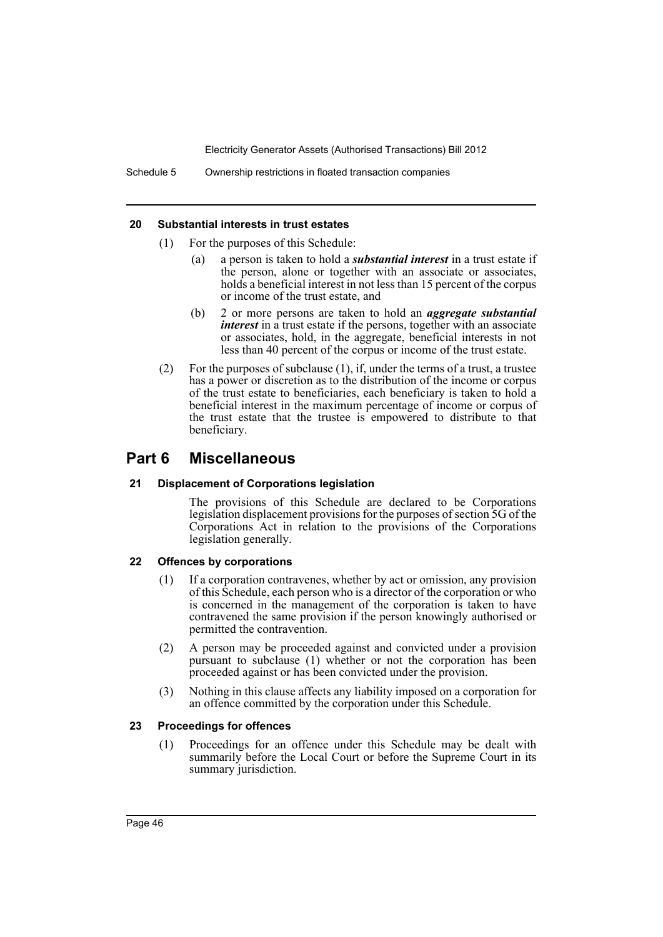#### **20 Substantial interests in trust estates**

- (1) For the purposes of this Schedule:
	- (a) a person is taken to hold a *substantial interest* in a trust estate if the person, alone or together with an associate or associates, holds a beneficial interest in not less than 15 percent of the corpus or income of the trust estate, and
	- (b) 2 or more persons are taken to hold an *aggregate substantial interest* in a trust estate if the persons, together with an associate or associates, hold, in the aggregate, beneficial interests in not less than 40 percent of the corpus or income of the trust estate.
- (2) For the purposes of subclause (1), if, under the terms of a trust, a trustee has a power or discretion as to the distribution of the income or corpus of the trust estate to beneficiaries, each beneficiary is taken to hold a beneficial interest in the maximum percentage of income or corpus of the trust estate that the trustee is empowered to distribute to that beneficiary.

# **Part 6 Miscellaneous**

#### **21 Displacement of Corporations legislation**

The provisions of this Schedule are declared to be Corporations legislation displacement provisions for the purposes of section 5G of the Corporations Act in relation to the provisions of the Corporations legislation generally.

## **22 Offences by corporations**

- (1) If a corporation contravenes, whether by act or omission, any provision of this Schedule, each person who is a director of the corporation or who is concerned in the management of the corporation is taken to have contravened the same provision if the person knowingly authorised or permitted the contravention.
- (2) A person may be proceeded against and convicted under a provision pursuant to subclause (1) whether or not the corporation has been proceeded against or has been convicted under the provision.
- (3) Nothing in this clause affects any liability imposed on a corporation for an offence committed by the corporation under this Schedule.

#### **23 Proceedings for offences**

(1) Proceedings for an offence under this Schedule may be dealt with summarily before the Local Court or before the Supreme Court in its summary jurisdiction.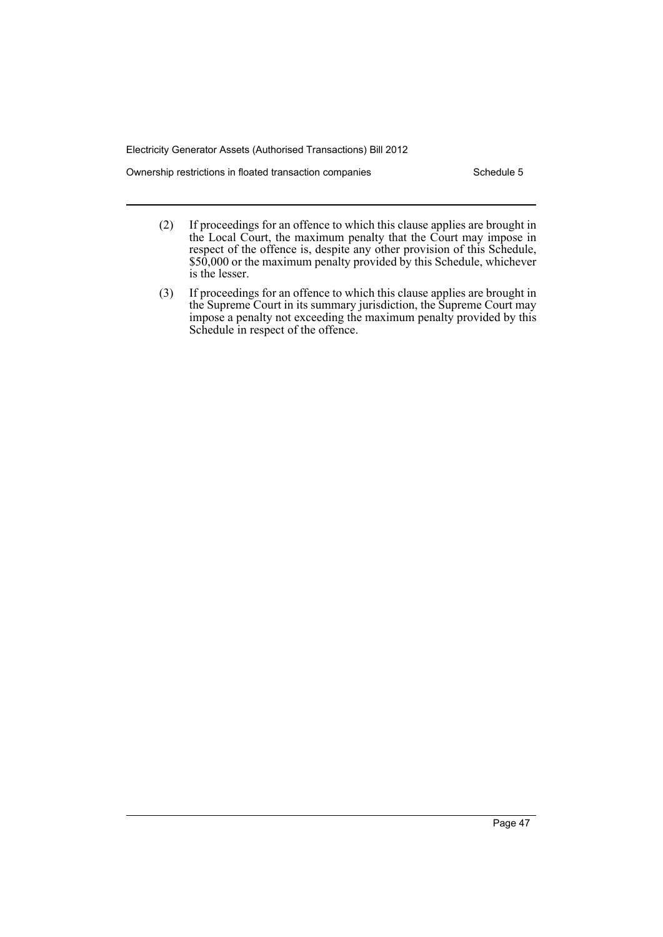Ownership restrictions in floated transaction companies Schedule 5

- (2) If proceedings for an offence to which this clause applies are brought in the Local Court, the maximum penalty that the Court may impose in respect of the offence is, despite any other provision of this Schedule, \$50,000 or the maximum penalty provided by this Schedule, whichever is the lesser.
- (3) If proceedings for an offence to which this clause applies are brought in the Supreme Court in its summary jurisdiction, the Supreme Court may impose a penalty not exceeding the maximum penalty provided by this Schedule in respect of the offence.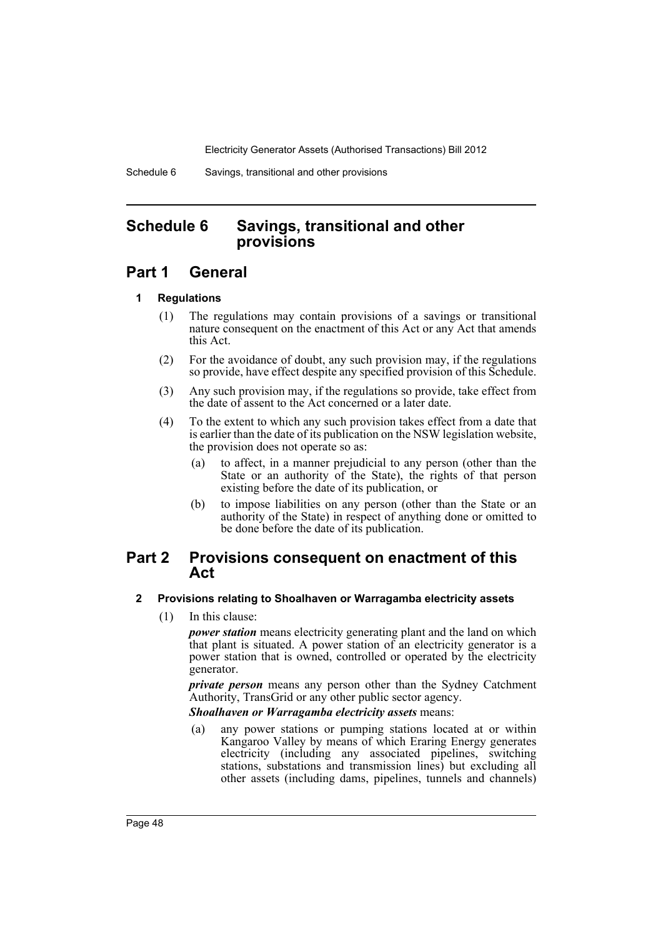Schedule 6 Savings, transitional and other provisions

# <span id="page-51-0"></span>**Schedule 6 Savings, transitional and other provisions**

# **Part 1 General**

# **1 Regulations**

- (1) The regulations may contain provisions of a savings or transitional nature consequent on the enactment of this Act or any Act that amends this Act.
- (2) For the avoidance of doubt, any such provision may, if the regulations so provide, have effect despite any specified provision of this Schedule.
- (3) Any such provision may, if the regulations so provide, take effect from the date of assent to the Act concerned or a later date.
- (4) To the extent to which any such provision takes effect from a date that is earlier than the date of its publication on the NSW legislation website, the provision does not operate so as:
	- (a) to affect, in a manner prejudicial to any person (other than the State or an authority of the State), the rights of that person existing before the date of its publication, or
	- (b) to impose liabilities on any person (other than the State or an authority of the State) in respect of anything done or omitted to be done before the date of its publication.

# **Part 2 Provisions consequent on enactment of this Act**

# **2 Provisions relating to Shoalhaven or Warragamba electricity assets**

(1) In this clause:

*power station* means electricity generating plant and the land on which that plant is situated. A power station of an electricity generator is a power station that is owned, controlled or operated by the electricity generator.

*private person* means any person other than the Sydney Catchment Authority, TransGrid or any other public sector agency.

*Shoalhaven or Warragamba electricity assets* means:

(a) any power stations or pumping stations located at or within Kangaroo Valley by means of which Eraring Energy generates electricity (including any associated pipelines, switching stations, substations and transmission lines) but excluding all other assets (including dams, pipelines, tunnels and channels)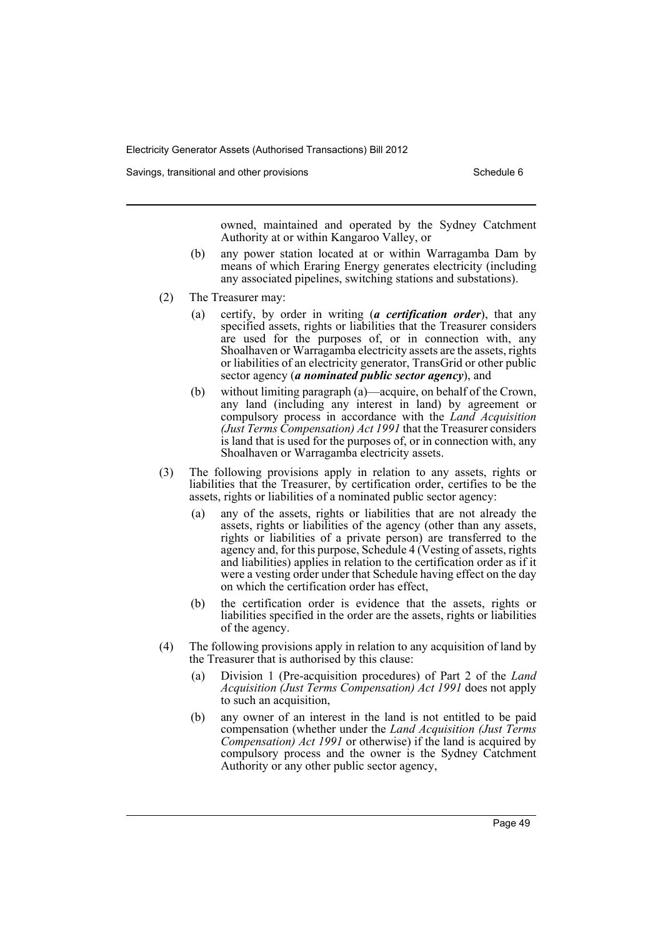Savings, transitional and other provisions Schedule 6 Schedule 6

owned, maintained and operated by the Sydney Catchment Authority at or within Kangaroo Valley, or

- (b) any power station located at or within Warragamba Dam by means of which Eraring Energy generates electricity (including any associated pipelines, switching stations and substations).
- (2) The Treasurer may:
	- (a) certify, by order in writing (*a certification order*), that any specified assets, rights or liabilities that the Treasurer considers are used for the purposes of, or in connection with, any Shoalhaven or Warragamba electricity assets are the assets, rights or liabilities of an electricity generator, TransGrid or other public sector agency (*a nominated public sector agency*), and
	- (b) without limiting paragraph (a)—acquire, on behalf of the Crown, any land (including any interest in land) by agreement or compulsory process in accordance with the *Land Acquisition (Just Terms Compensation) Act 1991* that the Treasurer considers is land that is used for the purposes of, or in connection with, any Shoalhaven or Warragamba electricity assets.
- (3) The following provisions apply in relation to any assets, rights or liabilities that the Treasurer, by certification order, certifies to be the assets, rights or liabilities of a nominated public sector agency:
	- (a) any of the assets, rights or liabilities that are not already the assets, rights or liabilities of the agency (other than any assets, rights or liabilities of a private person) are transferred to the agency and, for this purpose, Schedule 4 (Vesting of assets, rights and liabilities) applies in relation to the certification order as if it were a vesting order under that Schedule having effect on the day on which the certification order has effect,
	- (b) the certification order is evidence that the assets, rights or liabilities specified in the order are the assets, rights or liabilities of the agency.
- (4) The following provisions apply in relation to any acquisition of land by the Treasurer that is authorised by this clause:
	- (a) Division 1 (Pre-acquisition procedures) of Part 2 of the *Land Acquisition (Just Terms Compensation) Act 1991* does not apply to such an acquisition,
	- (b) any owner of an interest in the land is not entitled to be paid compensation (whether under the *Land Acquisition (Just Terms Compensation) Act 1991* or otherwise) if the land is acquired by compulsory process and the owner is the Sydney Catchment Authority or any other public sector agency,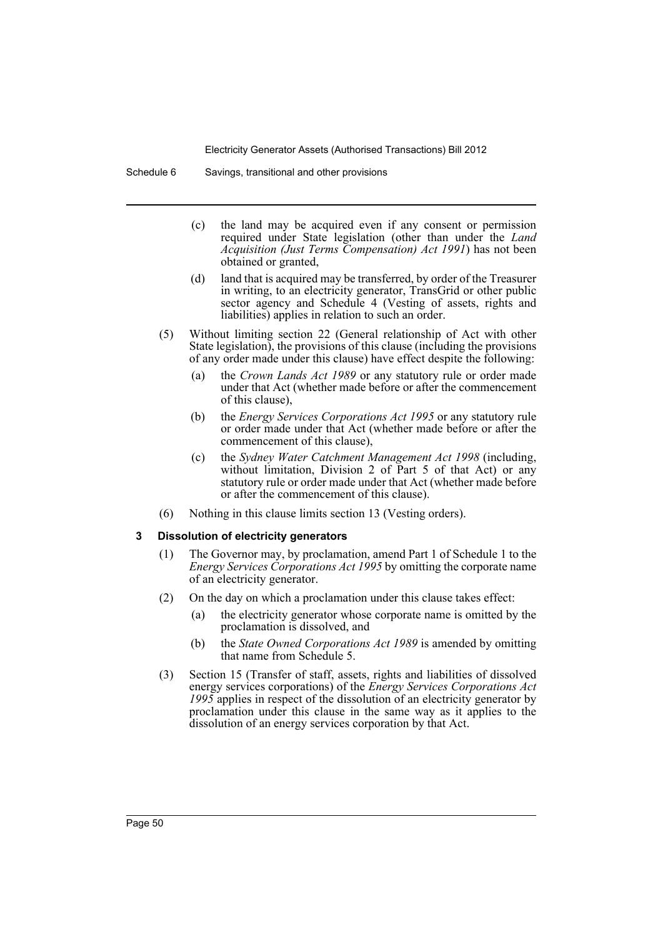Schedule 6 Savings, transitional and other provisions

- (c) the land may be acquired even if any consent or permission required under State legislation (other than under the *Land Acquisition (Just Terms Compensation) Act 1991*) has not been obtained or granted,
- (d) land that is acquired may be transferred, by order of the Treasurer in writing, to an electricity generator, TransGrid or other public sector agency and Schedule 4 (Vesting of assets, rights and liabilities) applies in relation to such an order.
- (5) Without limiting section 22 (General relationship of Act with other State legislation), the provisions of this clause (including the provisions of any order made under this clause) have effect despite the following:
	- (a) the *Crown Lands Act 1989* or any statutory rule or order made under that Act (whether made before or after the commencement of this clause),
	- (b) the *Energy Services Corporations Act 1995* or any statutory rule or order made under that Act (whether made before or after the commencement of this clause),
	- (c) the *Sydney Water Catchment Management Act 1998* (including, without limitation, Division 2 of Part 5 of that Act) or any statutory rule or order made under that Act (whether made before or after the commencement of this clause).
- (6) Nothing in this clause limits section 13 (Vesting orders).

#### **3 Dissolution of electricity generators**

- (1) The Governor may, by proclamation, amend Part 1 of Schedule 1 to the *Energy Services Corporations Act 1995* by omitting the corporate name of an electricity generator.
- (2) On the day on which a proclamation under this clause takes effect:
	- (a) the electricity generator whose corporate name is omitted by the proclamation is dissolved, and
	- (b) the *State Owned Corporations Act 1989* is amended by omitting that name from Schedule 5.
- (3) Section 15 (Transfer of staff, assets, rights and liabilities of dissolved energy services corporations) of the *Energy Services Corporations Act 1995* applies in respect of the dissolution of an electricity generator by proclamation under this clause in the same way as it applies to the dissolution of an energy services corporation by that Act.